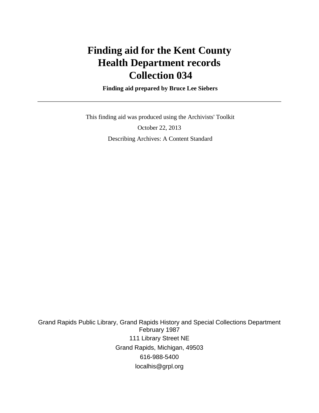# **Finding aid for the Kent County Health Department records Collection 034**

 **Finding aid prepared by Bruce Lee Siebers**

 This finding aid was produced using the Archivists' Toolkit October 22, 2013 Describing Archives: A Content Standard

Grand Rapids Public Library, Grand Rapids History and Special Collections Department February 1987 111 Library Street NE Grand Rapids, Michigan, 49503 616-988-5400 localhis@grpl.org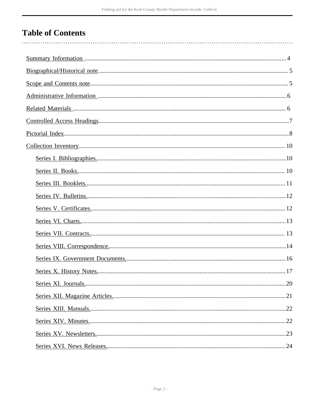# **Table of Contents**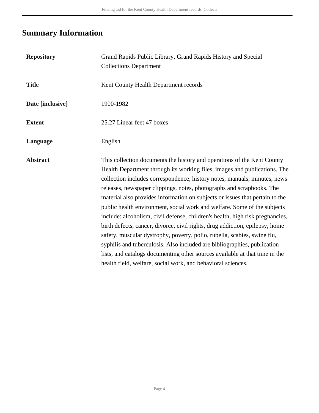# <span id="page-3-0"></span>**Summary Information**

| <b>Repository</b> | Grand Rapids Public Library, Grand Rapids History and Special<br><b>Collections Department</b>                                                                                                                                                                                                                                                                                                                                                                                                                                                                                                                                                                                                                                                                                                                                                                                                                                                 |
|-------------------|------------------------------------------------------------------------------------------------------------------------------------------------------------------------------------------------------------------------------------------------------------------------------------------------------------------------------------------------------------------------------------------------------------------------------------------------------------------------------------------------------------------------------------------------------------------------------------------------------------------------------------------------------------------------------------------------------------------------------------------------------------------------------------------------------------------------------------------------------------------------------------------------------------------------------------------------|
| <b>Title</b>      | Kent County Health Department records                                                                                                                                                                                                                                                                                                                                                                                                                                                                                                                                                                                                                                                                                                                                                                                                                                                                                                          |
| Date [inclusive]  | 1900-1982                                                                                                                                                                                                                                                                                                                                                                                                                                                                                                                                                                                                                                                                                                                                                                                                                                                                                                                                      |
| <b>Extent</b>     | 25.27 Linear feet 47 boxes                                                                                                                                                                                                                                                                                                                                                                                                                                                                                                                                                                                                                                                                                                                                                                                                                                                                                                                     |
| Language          | English                                                                                                                                                                                                                                                                                                                                                                                                                                                                                                                                                                                                                                                                                                                                                                                                                                                                                                                                        |
| <b>Abstract</b>   | This collection documents the history and operations of the Kent County<br>Health Department through its working files, images and publications. The<br>collection includes correspondence, history notes, manuals, minutes, news<br>releases, newspaper clippings, notes, photographs and scrapbooks. The<br>material also provides information on subjects or issues that pertain to the<br>public health environment, social work and welfare. Some of the subjects<br>include: alcoholism, civil defense, children's health, high risk pregnancies,<br>birth defects, cancer, divorce, civil rights, drug addiction, epilepsy, home<br>safety, muscular dystrophy, poverty, polio, rubella, scabies, swine flu,<br>syphilis and tuberculosis. Also included are bibliographies, publication<br>lists, and catalogs documenting other sources available at that time in the<br>health field, welfare, social work, and behavioral sciences. |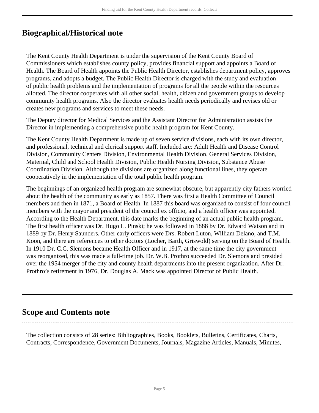## <span id="page-4-0"></span>**Biographical/Historical note**

The Kent County Health Department is under the supervision of the Kent County Board of Commissioners which establishes county policy, provides financial support and appoints a Board of Health. The Board of Health appoints the Public Health Director, establishes department policy, approves programs, and adopts a budget. The Public Health Director is charged with the study and evaluation of public health problems and the implementation of programs for all the people within the resources allotted. The director cooperates with all other social, health, citizen and government groups to develop community health programs. Also the director evaluates health needs periodically and revises old or creates new programs and services to meet these needs.

The Deputy director for Medical Services and the Assistant Director for Administration assists the Director in implementing a comprehensive public health program for Kent County.

The Kent County Health Department is made up of seven service divisions, each with its own director, and professional, technical and clerical support staff. Included are: Adult Health and Disease Control Division, Community Centers Division, Environmental Health Division, General Services Division, Maternal, Child and School Health Division, Public Health Nursing Division, Substance Abuse Coordination Division. Although the divisions are organized along functional lines, they operate cooperatively in the implementation of the total public health program.

The beginnings of an organized health program are somewhat obscure, but apparently city fathers worried about the health of the community as early as 1857. There was first a Health Committee of Council members and then in 1871, a Board of Health. In 1887 this board was organized to consist of four council members with the mayor and president of the council ex officio, and a health officer was appointed. According to the Health Department, this date marks the beginning of an actual public health program. The first health officer was Dr. Hugo L. Pinski; he was followed in 1888 by Dr. Edward Watson and in 1889 by Dr. Henry Saunders. Other early officers were Drs. Robert Luton, William Delano, and T.M. Koon, and there are references to other doctors (Locher, Barth, Griswold) serving on the Board of Health. In 1910 Dr. C.C. Slemons became Health Officer and in 1917, at the same time the city government was reorganized, this was made a full-time job. Dr. W.B. Prothro succeeded Dr. Slemons and presided over the 1954 merger of the city and county health departments into the present organization. After Dr. Prothro's retirement in 1976, Dr. Douglas A. Mack was appointed Director of Public Health.

## <span id="page-4-1"></span>**Scope and Contents note**

The collection consists of 28 series: Bibliographies, Books, Booklets, Bulletins, Certificates, Charts, Contracts, Correspondence, Government Documents, Journals, Magazine Articles, Manuals, Minutes,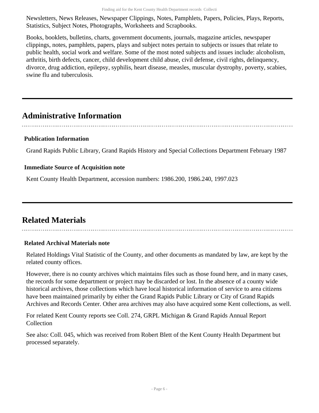Newsletters, News Releases, Newspaper Clippings, Notes, Pamphlets, Papers, Policies, Plays, Reports, Statistics, Subject Notes, Photographs, Worksheets and Scrapbooks.

Books, booklets, bulletins, charts, government documents, journals, magazine articles, newspaper clippings, notes, pamphlets, papers, plays and subject notes pertain to subjects or issues that relate to public health, social work and welfare. Some of the most noted subjects and issues include: alcoholism, arthritis, birth defects, cancer, child development child abuse, civil defense, civil rights, delinquency, divorce, drug addiction, epilepsy, syphilis, heart disease, measles, muscular dystrophy, poverty, scabies, swine flu and tuberculosis.

## <span id="page-5-0"></span>**Administrative Information**

#### **Publication Information**

Grand Rapids Public Library, Grand Rapids History and Special Collections Department February 1987

#### **Immediate Source of Acquisition note**

Kent County Health Department, accession numbers: 1986.200, 1986.240, 1997.023

## <span id="page-5-1"></span>**Related Materials**

#### **Related Archival Materials note**

Related Holdings Vital Statistic of the County, and other documents as mandated by law, are kept by the related county offices.

However, there is no county archives which maintains files such as those found here, and in many cases, the records for some department or project may be discarded or lost. In the absence of a county wide historical archives, those collections which have local historical information of service to area citizens have been maintained primarily by either the Grand Rapids Public Library or City of Grand Rapids Archives and Records Center. Other area archives may also have acquired some Kent collections, as well.

For related Kent County reports see Coll. 274, GRPL Michigan & Grand Rapids Annual Report **Collection** 

See also: Coll. 045, which was received from Robert Blett of the Kent County Health Department but processed separately.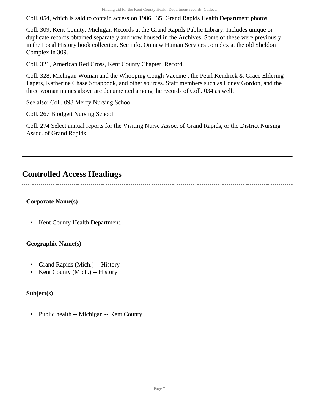Coll. 054, which is said to contain accession 1986.435, Grand Rapids Health Department photos.

Coll. 309, Kent County, Michigan Records at the Grand Rapids Public Library. Includes unique or duplicate records obtained separately and now housed in the Archives. Some of these were previously in the Local History book collection. See info. On new Human Services complex at the old Sheldon Complex in 309.

Coll. 321, American Red Cross, Kent County Chapter. Record.

Coll. 328, Michigan Woman and the Whooping Cough Vaccine : the Pearl Kendrick & Grace Eldering Papers, Katherine Chase Scrapbook, and other sources. Staff members such as Loney Gordon, and the three woman names above are documented among the records of Coll. 034 as well.

See also: Coll. 098 Mercy Nursing School

Coll. 267 Blodgett Nursing School

Coll. 274 Select annual reports for the Visiting Nurse Assoc. of Grand Rapids, or the District Nursing Assoc. of Grand Rapids

## <span id="page-6-0"></span>**Controlled Access Headings**

#### **Corporate Name(s)**

• Kent County Health Department.

#### **Geographic Name(s)**

- Grand Rapids (Mich.) -- History
- Kent County (Mich.) -- History

#### **Subject(s)**

• Public health -- Michigan -- Kent County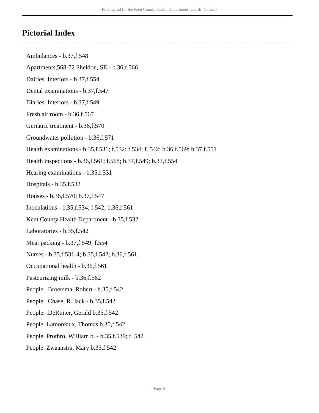## <span id="page-7-0"></span>**Pictorial Index**

- Ambulances b.37,f.548
- Apartments,568-72 Sheldon, SE b.36,f.566
- Dairies. Interiors b.37,f.554
- Dental examinations b.37,f.547
- Diaries. Interiors b.37,f.549
- Fresh air room b.36,f.567
- Geriatric treatment b.36,f.570
- Groundwater pollution b.36,f.571
- Health examinations b.35,f.531; f.532; f.534; f. 542; b.36,f.569; b.37,f.551
- Health inspections b.36,f.561; f.568; b.37,f.549; b.37,f.554
- Hearing examinations b.35,f.531
- Hospitals b.35,f.532
- Houses b.36,f.570; b.37,f.547
- Inoculations b.35,f.534; f.542; b.36,f.561
- Kent County Health Department b.35,f.532
- Laboratories b.35,f.542
- Meat packing b.37,f.549; f.554
- Nurses b.35,f.531-4; b.35,f.542; b.36,f.561
- Occupational health b.36,f.561
- Pasteurizing milk b.36,f.562
- People. .Broersma, Robert b.35,f.542
- People. .Chase, R. Jack b.35,f.542
- People. .DeRuiter, Gerald b.35,f.542
- People. Lamoreaux, Thomas b.35,f.542
- People. Prothro, William b. b.35,f.539; f. 542
- People. Zwaanstra, Mary b.35,f.542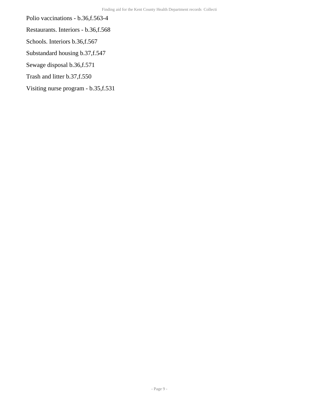- Polio vaccinations b.36,f.563-4
- Restaurants. Interiors b.36,f.568
- Schools. Interiors b.36,f.567
- Substandard housing b.37,f.547
- Sewage disposal b.36,f.571
- Trash and litter b.37,f.550
- Visiting nurse program b.35,f.531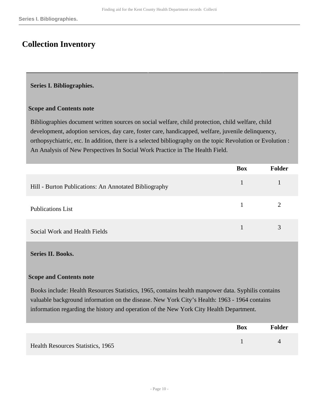## <span id="page-9-0"></span>**Collection Inventory**

#### <span id="page-9-1"></span>**Series I. Bibliographies.**

#### **Scope and Contents note**

Bibliographies document written sources on social welfare, child protection, child welfare, child development, adoption services, day care, foster care, handicapped, welfare, juvenile delinquency, orthopsychiatric, etc. In addition, there is a selected bibliography on the topic Revolution or Evolution : An Analysis of New Perspectives In Social Work Practice in The Health Field.

|                                                       | <b>Box</b> | <b>Folder</b> |
|-------------------------------------------------------|------------|---------------|
| Hill - Burton Publications: An Annotated Bibliography |            |               |
| <b>Publications List</b>                              |            |               |
| Social Work and Health Fields                         |            | 3             |

#### <span id="page-9-2"></span>**Series II. Books.**

#### **Scope and Contents note**

Books include: Health Resources Statistics, 1965, contains health manpower data. Syphilis contains valuable background information on the disease. New York City's Health: 1963 - 1964 contains information regarding the history and operation of the New York City Health Department.

|                                          | <b>Box</b> | <b>Folder</b> |
|------------------------------------------|------------|---------------|
| <b>Health Resources Statistics, 1965</b> |            |               |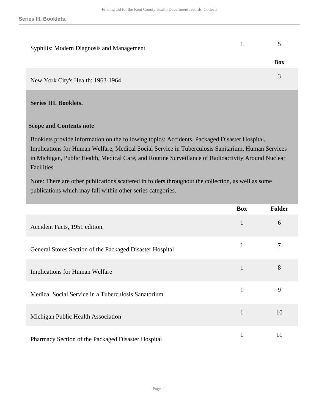| Syphilis: Modern Diagnosis and Management |            |
|-------------------------------------------|------------|
|                                           | <b>Box</b> |
| New York City's Health: 1963-1964         |            |

#### <span id="page-10-0"></span>**Series III. Booklets.**

#### **Scope and Contents note**

Booklets provide information on the following topics: Accidents, Packaged Disaster Hospital, Implications for Human Welfare, Medical Social Service in Tuberculosis Sanitarium, Human Services in Michigan, Public Health, Medical Care, and Routine Surveillance of Radioactivity Around Nuclear Facilities.

Note: There are other publications scattered in folders throughout the collection, as well as some publications which may fall within other series categories.

|                                                          | <b>Box</b> | <b>Folder</b> |
|----------------------------------------------------------|------------|---------------|
| Accident Facts, 1951 edition.                            | 1          | 6             |
| General Stores Section of the Packaged Disaster Hospital | 1          | 7             |
| <b>Implications for Human Welfare</b>                    | 1          | 8             |
| Medical Social Service in a Tuberculosis Sanatorium      | 1          | 9             |
| Michigan Public Health Association                       |            | 10            |
| Pharmacy Section of the Packaged Disaster Hospital       |            | 11            |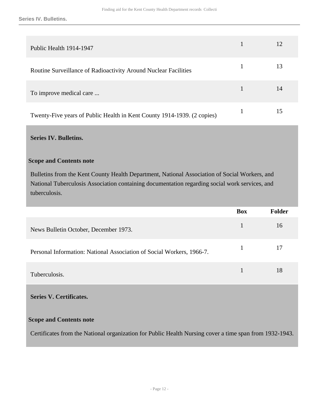**Series IV. Bulletins.**

| Public Health 1914-1947                                                 | 12 |
|-------------------------------------------------------------------------|----|
| Routine Surveillance of Radioactivity Around Nuclear Facilities         | 13 |
| To improve medical care                                                 | 14 |
| Twenty-Five years of Public Health in Kent County 1914-1939. (2 copies) | 15 |

#### <span id="page-11-0"></span>**Series IV. Bulletins.**

#### **Scope and Contents note**

Bulletins from the Kent County Health Department, National Association of Social Workers, and National Tuberculosis Association containing documentation regarding social work services, and tuberculosis.

|                                                                       | <b>Box</b>   | <b>Folder</b> |
|-----------------------------------------------------------------------|--------------|---------------|
| News Bulletin October, December 1973.                                 | 1            | 16            |
| Personal Information: National Association of Social Workers, 1966-7. | $\mathbf{1}$ | 17            |
| Tuberculosis.                                                         |              | 18            |

<span id="page-11-1"></span>**Series V. Certificates.** 

#### **Scope and Contents note**

Certificates from the National organization for Public Health Nursing cover a time span from 1932-1943.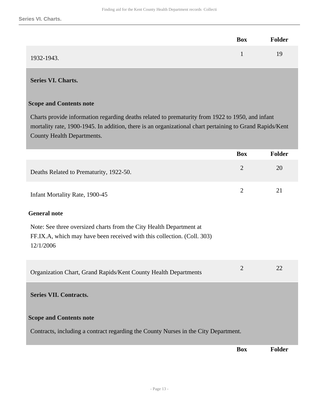|            | Box | <b>Folder</b> |
|------------|-----|---------------|
| 1932-1943. |     | 19            |

#### <span id="page-12-0"></span>**Series VI. Charts.**

#### **Scope and Contents note**

Charts provide information regarding deaths related to prematurity from 1922 to 1950, and infant mortality rate, 1900-1945. In addition, there is an organizational chart pertaining to Grand Rapids/Kent County Health Departments.

<span id="page-12-1"></span>

|                                                                                                                                                             | <b>Box</b>     | <b>Folder</b> |
|-------------------------------------------------------------------------------------------------------------------------------------------------------------|----------------|---------------|
| Deaths Related to Prematurity, 1922-50.                                                                                                                     | $\overline{2}$ | 20            |
| Infant Mortality Rate, 1900-45                                                                                                                              | $\overline{2}$ | 21            |
| <b>General note</b>                                                                                                                                         |                |               |
| Note: See three oversized charts from the City Health Department at<br>FF.IX.A, which may have been received with this collection. (Coll. 303)<br>12/1/2006 |                |               |
| Organization Chart, Grand Rapids/Kent County Health Departments                                                                                             | $\overline{2}$ | 22            |
| <b>Series VII. Contracts.</b>                                                                                                                               |                |               |
| <b>Scope and Contents note</b>                                                                                                                              |                |               |
| Contracts, including a contract regarding the County Nurses in the City Department.                                                                         |                |               |
|                                                                                                                                                             | <b>Box</b>     | <b>Folder</b> |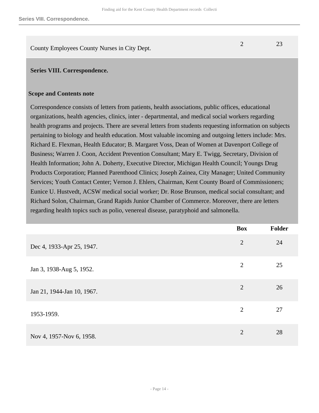County Employees County Nurses in City Dept. 2 23

#### <span id="page-13-0"></span>**Series VIII. Correspondence.**

#### **Scope and Contents note**

Correspondence consists of letters from patients, health associations, public offices, educational organizations, health agencies, clinics, inter - departmental, and medical social workers regarding health programs and projects. There are several letters from students requesting information on subjects pertaining to biology and health education. Most valuable incoming and outgoing letters include: Mrs. Richard E. Flexman, Health Educator; B. Margaret Voss, Dean of Women at Davenport College of Business; Warren J. Coon, Accident Prevention Consultant; Mary E. Twigg, Secretary, Division of Health Information; John A. Doherty, Executive Director, Michigan Health Council; Youngs Drug Products Corporation; Planned Parenthood Clinics; Joseph Zainea, City Manager; United Community Services; Youth Contact Center; Vernon J. Ehlers, Chairman, Kent County Board of Commissioners; Eunice U. Hustvedt, ACSW medical social worker; Dr. Rose Brunson, medical social consultant; and Richard Solon, Chairman, Grand Rapids Junior Chamber of Commerce. Moreover, there are letters regarding health topics such as polio, venereal disease, paratyphoid and salmonella.

|                            | <b>Box</b>     | Folder |
|----------------------------|----------------|--------|
| Dec 4, 1933-Apr 25, 1947.  | $\overline{2}$ | 24     |
| Jan 3, 1938-Aug 5, 1952.   | 2              | 25     |
| Jan 21, 1944-Jan 10, 1967. | 2              | 26     |
| 1953-1959.                 | 2              | 27     |
| Nov 4, 1957-Nov 6, 1958.   | $\overline{2}$ | 28     |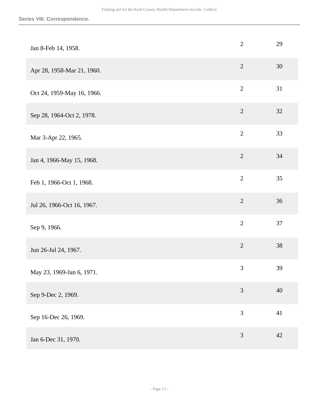| Jan 8-Feb 14, 1958.        | $\mathbf{2}$   | 29 |
|----------------------------|----------------|----|
| Apr 28, 1958-Mar 21, 1960. | $\sqrt{2}$     | 30 |
| Oct 24, 1959-May 16, 1966. | $\overline{2}$ | 31 |
| Sep 28, 1964-Oct 2, 1978.  | $\sqrt{2}$     | 32 |
| Mar 3-Apr 22, 1965.        | $\overline{2}$ | 33 |
| Jan 4, 1966-May 15, 1968.  | $\sqrt{2}$     | 34 |
| Feb 1, 1966-Oct 1, 1968.   | $\overline{2}$ | 35 |
| Jul 26, 1966-Oct 16, 1967. | $\overline{2}$ | 36 |
| Sep 9, 1966.               | $\overline{2}$ | 37 |
| Jun 26-Jul 24, 1967.       | $\overline{2}$ | 38 |
| May 23, 1969-Jan 6, 1971.  | 3              | 39 |
| Sep 9-Dec 2, 1969.         | $\mathfrak{Z}$ | 40 |
| Sep 16-Dec 26, 1969.       | 3              | 41 |
| Jan 6-Dec 31, 1970.        | $\mathfrak{Z}$ | 42 |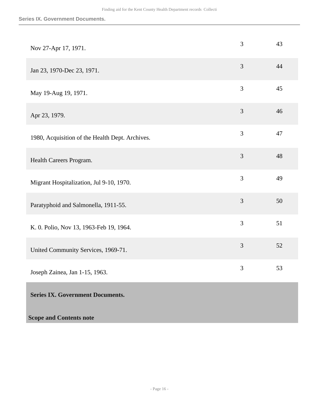| Nov 27-Apr 17, 1971.                            | 3              | 43 |
|-------------------------------------------------|----------------|----|
| Jan 23, 1970-Dec 23, 1971.                      | $\overline{3}$ | 44 |
| May 19-Aug 19, 1971.                            | $\overline{3}$ | 45 |
| Apr 23, 1979.                                   | $\mathfrak{Z}$ | 46 |
| 1980, Acquisition of the Health Dept. Archives. | 3              | 47 |
| Health Careers Program.                         | 3              | 48 |
| Migrant Hospitalization, Jul 9-10, 1970.        | $\overline{3}$ | 49 |
| Paratyphoid and Salmonella, 1911-55.            | 3              | 50 |
| K. 0. Polio, Nov 13, 1963-Feb 19, 1964.         | 3              | 51 |
| United Community Services, 1969-71.             | $\mathfrak{Z}$ | 52 |
| Joseph Zainea, Jan 1-15, 1963.                  | 3              | 53 |
| <b>Series IX. Government Documents.</b>         |                |    |

<span id="page-15-0"></span>**Scope and Contents note**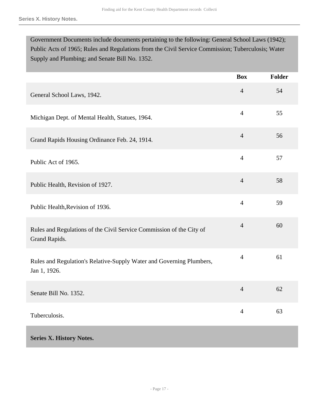Government Documents include documents pertaining to the following: General School Laws (1942); Public Acts of 1965; Rules and Regulations from the Civil Service Commission; Tuberculosis; Water Supply and Plumbing; and Senate Bill No. 1352.

<span id="page-16-0"></span>

|                                                                                       | <b>Box</b>     | Folder |
|---------------------------------------------------------------------------------------|----------------|--------|
| General School Laws, 1942.                                                            | $\overline{4}$ | 54     |
| Michigan Dept. of Mental Health, Statues, 1964.                                       | $\overline{4}$ | 55     |
| Grand Rapids Housing Ordinance Feb. 24, 1914.                                         | $\overline{4}$ | 56     |
| Public Act of 1965.                                                                   | $\overline{4}$ | 57     |
| Public Health, Revision of 1927.                                                      | $\overline{4}$ | 58     |
| Public Health, Revision of 1936.                                                      | $\overline{4}$ | 59     |
| Rules and Regulations of the Civil Service Commission of the City of<br>Grand Rapids. | $\overline{4}$ | 60     |
| Rules and Regulation's Relative-Supply Water and Governing Plumbers,<br>Jan 1, 1926.  | $\overline{4}$ | 61     |
| Senate Bill No. 1352.                                                                 | $\overline{4}$ | 62     |
| Tuberculosis.                                                                         | $\overline{4}$ | 63     |
| <b>Series X. History Notes.</b>                                                       |                |        |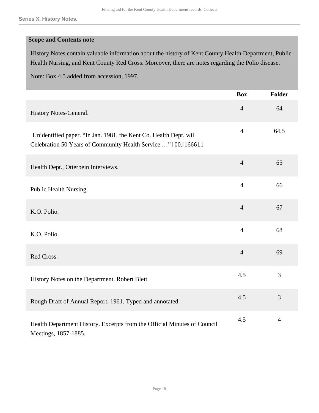#### **Scope and Contents note**

History Notes contain valuable information about the history of Kent County Health Department, Public Health Nursing, and Kent County Red Cross. Moreover, there are notes regarding the Polio disease.

Note: Box 4.5 added from accession, 1997.

|                                                                                                                                       | <b>Box</b>     | <b>Folder</b>  |
|---------------------------------------------------------------------------------------------------------------------------------------|----------------|----------------|
| History Notes-General.                                                                                                                | $\overline{4}$ | 64             |
| [Unidentified paper. "In Jan. 1981, the Kent Co. Health Dept. will<br>Celebration 50 Years of Community Health Service "] 00.[1666].1 | $\overline{4}$ | 64.5           |
| Health Dept., Otterbein Interviews.                                                                                                   | $\overline{4}$ | 65             |
| Public Health Nursing.                                                                                                                | $\overline{4}$ | 66             |
| K.O. Polio.                                                                                                                           | $\overline{4}$ | 67             |
| K.O. Polio.                                                                                                                           | $\overline{4}$ | 68             |
| Red Cross.                                                                                                                            | $\overline{4}$ | 69             |
| History Notes on the Department. Robert Blett                                                                                         | 4.5            | 3              |
| Rough Draft of Annual Report, 1961. Typed and annotated.                                                                              | 4.5            | 3              |
| Health Department History. Excerpts from the Official Minutes of Council<br>Meetings, 1857-1885.                                      | 4.5            | $\overline{4}$ |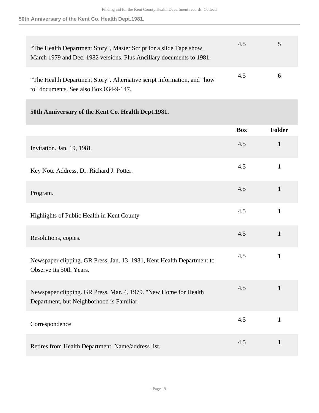**50th Anniversary of the Kent Co. Health Dept.1981.**

| "The Health Department Story", Master Script for a slide Tape show.<br>March 1979 and Dec. 1982 versions. Plus Ancillary documents to 1981. | 4.5 | 5            |
|---------------------------------------------------------------------------------------------------------------------------------------------|-----|--------------|
| "The Health Department Story". Alternative script information, and "how<br>to" documents. See also Box 034-9-147.                           | 4.5 | $\mathbf{a}$ |

#### **50th Anniversary of the Kent Co. Health Dept.1981.**

|                                                                                                               | <b>Box</b> | <b>Folder</b> |
|---------------------------------------------------------------------------------------------------------------|------------|---------------|
| Invitation. Jan. 19, 1981.                                                                                    | 4.5        | $\mathbf{1}$  |
| Key Note Address, Dr. Richard J. Potter.                                                                      | 4.5        | $\mathbf{1}$  |
| Program.                                                                                                      | 4.5        | $\mathbf{1}$  |
| Highlights of Public Health in Kent County                                                                    | 4.5        | $\mathbf{1}$  |
| Resolutions, copies.                                                                                          | 4.5        | $\mathbf{1}$  |
| Newspaper clipping. GR Press, Jan. 13, 1981, Kent Health Department to<br>Observe Its 50th Years.             | 4.5        | $\mathbf{1}$  |
| Newspaper clipping. GR Press, Mar. 4, 1979. "New Home for Health<br>Department, but Neighborhood is Familiar. | 4.5        | $\mathbf{1}$  |
| Correspondence                                                                                                | 4.5        | $\mathbf{1}$  |
| Retires from Health Department. Name/address list.                                                            | 4.5        | $\mathbf{1}$  |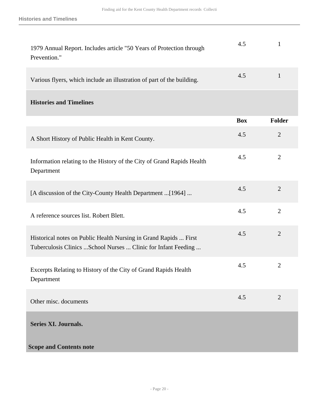**Histories and Timelines**

<span id="page-19-0"></span>

| 1979 Annual Report. Includes article "50 Years of Protection through<br>Prevention."                                               | 4.5        | 1              |
|------------------------------------------------------------------------------------------------------------------------------------|------------|----------------|
| Various flyers, which include an illustration of part of the building.                                                             | 4.5        | $\mathbf{1}$   |
| <b>Histories and Timelines</b>                                                                                                     |            |                |
|                                                                                                                                    | <b>Box</b> | Folder         |
| A Short History of Public Health in Kent County.                                                                                   | 4.5        | $\overline{2}$ |
| Information relating to the History of the City of Grand Rapids Health<br>Department                                               | 4.5        | $\overline{2}$ |
| [A discussion of the City-County Health Department  [1964]                                                                         | 4.5        | $\overline{2}$ |
| A reference sources list. Robert Blett.                                                                                            | 4.5        | $\overline{2}$ |
| Historical notes on Public Health Nursing in Grand Rapids  First<br>Tuberculosis Clinics  School Nurses  Clinic for Infant Feeding | 4.5        | $\overline{2}$ |
| Excerpts Relating to History of the City of Grand Rapids Health<br>Department                                                      | 4.5        | $\overline{c}$ |
| Other misc. documents                                                                                                              | 4.5        | $\overline{2}$ |
| <b>Series XI. Journals.</b>                                                                                                        |            |                |
| <b>Scope and Contents note</b>                                                                                                     |            |                |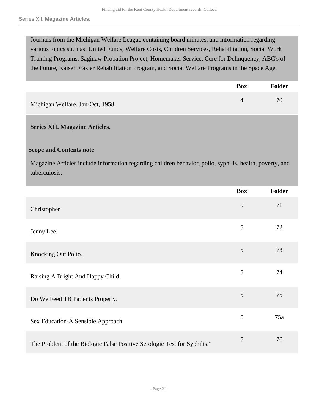Journals from the Michigan Welfare League containing board minutes, and information regarding various topics such as: United Funds, Welfare Costs, Children Services, Rehabilitation, Social Work Training Programs, Saginaw Probation Project, Homemaker Service, Cure for Delinquency, ABC's of the Future, Kaiser Frazier Rehabilitation Program, and Social Welfare Programs in the Space Age.

|                                  | <b>Box</b> | <b>Folder</b> |
|----------------------------------|------------|---------------|
| Michigan Welfare, Jan-Oct, 1958, |            | 70            |

#### <span id="page-20-0"></span>**Series XII. Magazine Articles.**

#### **Scope and Contents note**

Magazine Articles include information regarding children behavior, polio, syphilis, health, poverty, and tuberculosis.

|                                                                          | <b>Box</b> | Folder |
|--------------------------------------------------------------------------|------------|--------|
| Christopher                                                              | 5          | 71     |
| Jenny Lee.                                                               | 5          | 72     |
| Knocking Out Polio.                                                      | 5          | 73     |
| Raising A Bright And Happy Child.                                        | 5          | 74     |
| Do We Feed TB Patients Properly.                                         | 5          | 75     |
| Sex Education-A Sensible Approach.                                       | 5          | 75a    |
| The Problem of the Biologic False Positive Serologic Test for Syphilis." | 5          | 76     |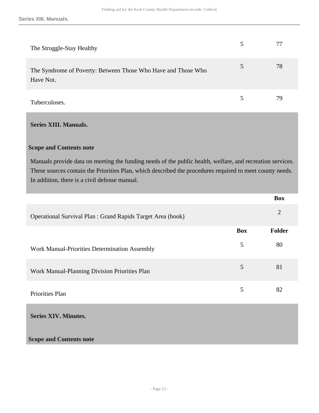| The Struggle-Stay Healthy                                                  | 5 |    |
|----------------------------------------------------------------------------|---|----|
| The Syndrome of Poverty: Between Those Who Have and Those Who<br>Have Not. | 5 | 78 |
| Tuberculoses.                                                              | 5 | 79 |

#### <span id="page-21-0"></span>**Series XIII. Manuals.**

#### **Scope and Contents note**

Manuals provide data on meeting the funding needs of the public health, welfare, and recreation services. These sources contain the Priorities Plan, which described the procedures required to meet county needs. In addition, there is a civil defense manual.

<span id="page-21-1"></span>

|                                                             |            | <b>Box</b>     |
|-------------------------------------------------------------|------------|----------------|
| Operational Survival Plan : Grand Rapids Target Area (book) |            | $\overline{2}$ |
|                                                             | <b>Box</b> | Folder         |
| Work Manual-Priorities Determination Assembly               | 5          | 80             |
| Work Manual-Planning Division Priorities Plan               | 5          | 81             |
| Priorities Plan                                             | 5          | 82             |
| <b>Series XIV. Minutes.</b>                                 |            |                |
| <b>Scope and Contents note</b>                              |            |                |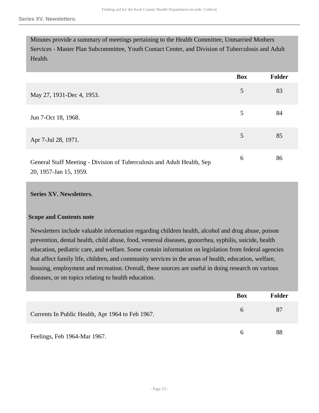Minutes provide a summary of meetings pertaining to the Health Committee, Unmarried Mothers Services - Master Plan Subcommittee, Youth Contact Center, and Division of Tuberculosis and Adult Health.

|                                                                                                  | <b>Box</b> | Folder |
|--------------------------------------------------------------------------------------------------|------------|--------|
|                                                                                                  |            |        |
| May 27, 1931-Dec 4, 1953.                                                                        | 5          | 83     |
| Jun 7-Oct 18, 1968.                                                                              | 5          | 84     |
| Apr 7-Jul 28, 1971.                                                                              | 5          | 85     |
| General Staff Meeting - Division of Tuberculosis and Adult Health, Sep<br>20, 1957-Jan 15, 1959. | 6          | 86     |

#### <span id="page-22-0"></span>**Series XV. Newsletters.**

#### **Scope and Contents note**

Newsletters include valuable information regarding children health, alcohol and drug abuse, poison prevention, dental health, child abuse, food, venereal diseases, gonorrhea, syphilis, suicide, health education, pediatric care, and welfare. Some contain information on legislation from federal agencies that affect family life, children, and community services in the areas of health, education, welfare, housing, employment and recreation. Overall, these sources are useful in doing research on various diseases, or on topics relating to health education.

|                                                  | <b>Box</b> | <b>Folder</b> |
|--------------------------------------------------|------------|---------------|
| Currents In Public Health, Apr 1964 to Feb 1967. | h          | 87            |
| Feelings, Feb 1964-Mar 1967.                     | h          | 88            |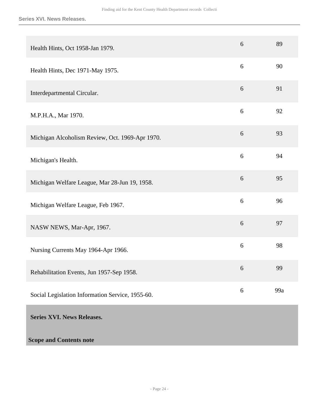<span id="page-23-0"></span>

| Health Hints, Oct 1958-Jan 1979.                 | 6     | 89  |
|--------------------------------------------------|-------|-----|
| Health Hints, Dec 1971-May 1975.                 | 6     | 90  |
| Interdepartmental Circular.                      | 6     | 91  |
| M.P.H.A., Mar 1970.                              | 6     | 92  |
| Michigan Alcoholism Review, Oct. 1969-Apr 1970.  | 6     | 93  |
| Michigan's Health.                               | 6     | 94  |
| Michigan Welfare League, Mar 28-Jun 19, 1958.    | 6     | 95  |
| Michigan Welfare League, Feb 1967.               | 6     | 96  |
| NASW NEWS, Mar-Apr, 1967.                        | 6     | 97  |
| Nursing Currents May 1964-Apr 1966.              | 6     | 98  |
| Rehabilitation Events, Jun 1957-Sep 1958.        | 6     | 99  |
| Social Legislation Information Service, 1955-60. | $6\,$ | 99a |
| <b>Series XVI. News Releases.</b>                |       |     |
| <b>Scope and Contents note</b>                   |       |     |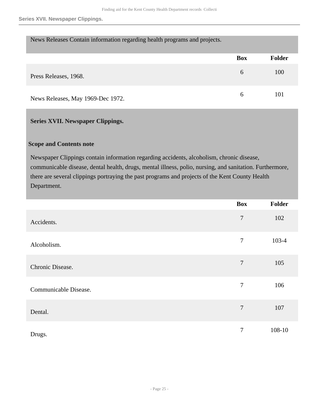| News Releases Contain information regarding health programs and projects. |            |        |
|---------------------------------------------------------------------------|------------|--------|
|                                                                           | <b>Box</b> | Folder |
| Press Releases, 1968.                                                     | 6          | 100    |
| News Releases, May 1969-Dec 1972.                                         | 6          | 101    |

#### <span id="page-24-0"></span>**Series XVII. Newspaper Clippings.**

#### **Scope and Contents note**

Newspaper Clippings contain information regarding accidents, alcoholism, chronic disease, communicable disease, dental health, drugs, mental illness, polio, nursing, and sanitation. Furthermore, there are several clippings portraying the past programs and projects of the Kent County Health Department.

|                       | <b>Box</b>       | Folder |
|-----------------------|------------------|--------|
| Accidents.            | $\boldsymbol{7}$ | 102    |
| Alcoholism.           | $\tau$           | 103-4  |
| Chronic Disease.      | $\tau$           | 105    |
| Communicable Disease. | $\overline{7}$   | 106    |
| Dental.               | $\tau$           | 107    |
| Drugs.                | $\tau$           | 108-10 |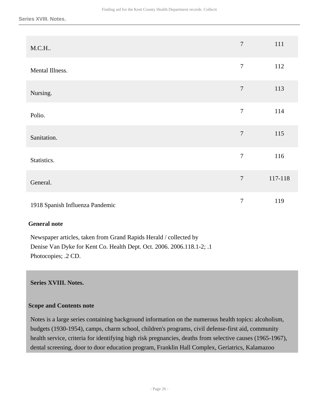| M.C.H.                          | $\overline{7}$ | 111     |
|---------------------------------|----------------|---------|
| Mental Illness.                 | $\tau$         | 112     |
| Nursing.                        | $\overline{7}$ | 113     |
| Polio.                          | $\overline{7}$ | 114     |
| Sanitation.                     | $\overline{7}$ | 115     |
| Statistics.                     | $\overline{7}$ | 116     |
| General.                        | $\overline{7}$ | 117-118 |
| 1918 Spanish Influenza Pandemic | $\tau$         | 119     |

#### **General note**

Newspaper articles, taken from Grand Rapids Herald / collected by Denise Van Dyke for Kent Co. Health Dept. Oct. 2006. 2006.118.1-2; .1 Photocopies; .2 CD.

#### <span id="page-25-0"></span>**Series XVIII. Notes.**

#### **Scope and Contents note**

Notes is a large series containing background information on the numerous health topics: alcoholism, budgets (1930-1954), camps, charm school, children's programs, civil defense-first aid, community health service, criteria for identifying high risk pregnancies, deaths from selective causes (1965-1967), dental screening, door to door education program, Franklin Hall Complex, Geriatrics, Kalamazoo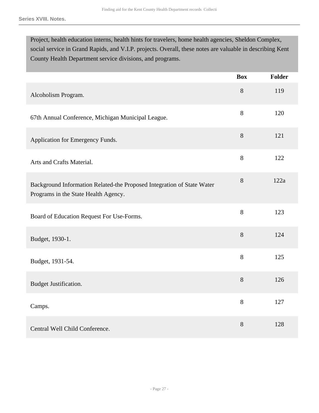Project, health education interns, health hints for travelers, home health agencies, Sheldon Complex, social service in Grand Rapids, and V.I.P. projects. Overall, these notes are valuable in describing Kent County Health Department service divisions, and programs.

|                                                                                                                | <b>Box</b> | <b>Folder</b> |
|----------------------------------------------------------------------------------------------------------------|------------|---------------|
| Alcoholism Program.                                                                                            | 8          | 119           |
| 67th Annual Conference, Michigan Municipal League.                                                             | 8          | 120           |
| Application for Emergency Funds.                                                                               | 8          | 121           |
| Arts and Crafts Material.                                                                                      | 8          | 122           |
| Background Information Related-the Proposed Integration of State Water<br>Programs in the State Health Agency. | 8          | 122a          |
| Board of Education Request For Use-Forms.                                                                      | 8          | 123           |
| Budget, 1930-1.                                                                                                | $8\,$      | 124           |
| Budget, 1931-54.                                                                                               | 8          | 125           |
| Budget Justification.                                                                                          | 8          | 126           |
| Camps.                                                                                                         | 8          | 127           |
| Central Well Child Conference.                                                                                 | 8          | 128           |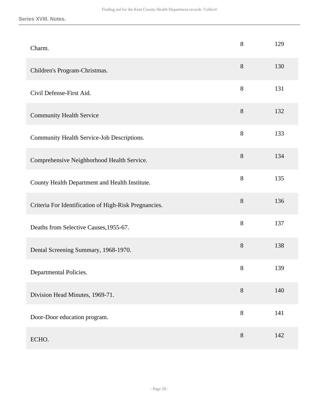| Charm.                                                | 8     | 129 |
|-------------------------------------------------------|-------|-----|
| Children's Program-Christmas.                         | 8     | 130 |
| Civil Defense-First Aid.                              | $8\,$ | 131 |
| <b>Community Health Service</b>                       | $8\,$ | 132 |
| Community Health Service-Job Descriptions.            | $8\,$ | 133 |
| Comprehensive Neighborhood Health Service.            | $8\,$ | 134 |
| County Health Department and Health Institute.        | $8\,$ | 135 |
| Criteria For Identification of High-Risk Pregnancies. | 8     | 136 |
| Deaths from Selective Causes, 1955-67.                | 8     | 137 |
| Dental Screening Summary, 1968-1970.                  | $8\,$ | 138 |
| Departmental Policies.                                | 8     | 139 |
| Division Head Minutes, 1969-71.                       | 8     | 140 |
| Door-Door education program.                          | 8     | 141 |
| ECHO.                                                 | $8\,$ | 142 |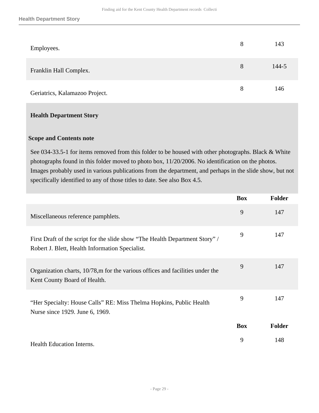| Employees.                     | 8 | 143   |
|--------------------------------|---|-------|
| Franklin Hall Complex.         | 8 | 144-5 |
| Geriatrics, Kalamazoo Project. | 8 | 146   |

#### **Scope and Contents note**

See 034-33.5-1 for items removed from this folder to be housed with other photographs. Black & White photographs found in this folder moved to photo box, 11/20/2006. No identification on the photos. Images probably used in various publications from the department, and perhaps in the slide show, but not specifically identified to any of those titles to date. See also Box 4.5.

|                                                                                                                                 | <b>Box</b> | <b>Folder</b> |
|---------------------------------------------------------------------------------------------------------------------------------|------------|---------------|
| Miscellaneous reference pamphlets.                                                                                              | 9          | 147           |
| First Draft of the script for the slide show "The Health Department Story" /<br>Robert J. Blett, Health Information Specialist. | 9          | 147           |
| Organization charts, 10/78,m for the various offices and facilities under the<br>Kent County Board of Health.                   | 9          | 147           |
| "Her Specialty: House Calls" RE: Miss Thelma Hopkins, Public Health<br>Nurse since 1929. June 6, 1969.                          | 9          | 147           |
|                                                                                                                                 | <b>Box</b> | Folder        |
| Health Education Interns.                                                                                                       | 9          | 148           |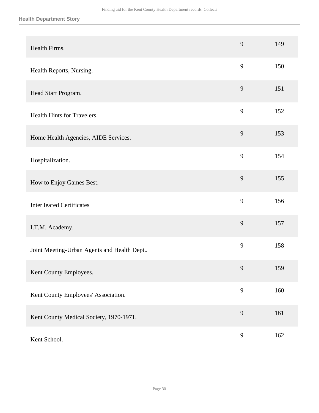| Health Firms.                              | 9 | 149 |
|--------------------------------------------|---|-----|
| Health Reports, Nursing.                   | 9 | 150 |
| Head Start Program.                        | 9 | 151 |
| Health Hints for Travelers.                | 9 | 152 |
| Home Health Agencies, AIDE Services.       | 9 | 153 |
| Hospitalization.                           | 9 | 154 |
| How to Enjoy Games Best.                   | 9 | 155 |
| <b>Inter leafed Certificates</b>           | 9 | 156 |
| I.T.M. Academy.                            | 9 | 157 |
| Joint Meeting-Urban Agents and Health Dept | 9 | 158 |
| Kent County Employees.                     | 9 | 159 |
| Kent County Employees' Association.        | 9 | 160 |
| Kent County Medical Society, 1970-1971.    | 9 | 161 |
| Kent School.                               | 9 | 162 |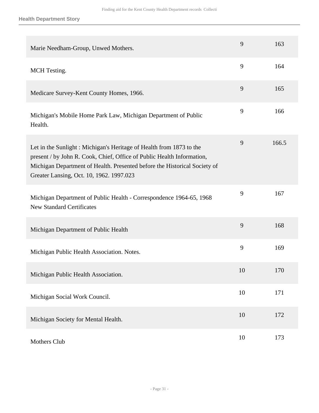| Marie Needham-Group, Unwed Mothers.                                                                                                                                                                                                                                    | 9  | 163   |
|------------------------------------------------------------------------------------------------------------------------------------------------------------------------------------------------------------------------------------------------------------------------|----|-------|
| <b>MCH</b> Testing.                                                                                                                                                                                                                                                    | 9  | 164   |
| Medicare Survey-Kent County Homes, 1966.                                                                                                                                                                                                                               | 9  | 165   |
| Michigan's Mobile Home Park Law, Michigan Department of Public<br>Health.                                                                                                                                                                                              | 9  | 166   |
| Let in the Sunlight: Michigan's Heritage of Health from 1873 to the<br>present / by John R. Cook, Chief, Office of Public Health Information,<br>Michigan Department of Health. Presented before the Historical Society of<br>Greater Lansing, Oct. 10, 1962. 1997.023 | 9  | 166.5 |
| Michigan Department of Public Health - Correspondence 1964-65, 1968<br><b>New Standard Certificates</b>                                                                                                                                                                | 9  | 167   |
| Michigan Department of Public Health                                                                                                                                                                                                                                   | 9  | 168   |
| Michigan Public Health Association. Notes.                                                                                                                                                                                                                             | 9  | 169   |
| Michigan Public Health Association.                                                                                                                                                                                                                                    | 10 | 170   |
| Michigan Social Work Council.                                                                                                                                                                                                                                          | 10 | 171   |
| Michigan Society for Mental Health.                                                                                                                                                                                                                                    | 10 | 172   |
| Mothers Club                                                                                                                                                                                                                                                           | 10 | 173   |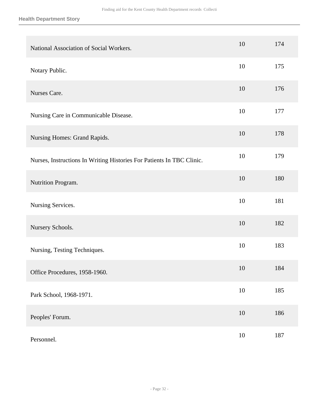| National Association of Social Workers.                               | 10     | 174 |
|-----------------------------------------------------------------------|--------|-----|
| Notary Public.                                                        | 10     | 175 |
| Nurses Care.                                                          | 10     | 176 |
| Nursing Care in Communicable Disease.                                 | 10     | 177 |
| Nursing Homes: Grand Rapids.                                          | 10     | 178 |
| Nurses, Instructions In Writing Histories For Patients In TBC Clinic. | 10     | 179 |
| Nutrition Program.                                                    | 10     | 180 |
| Nursing Services.                                                     | 10     | 181 |
| Nursery Schools.                                                      | 10     | 182 |
| Nursing, Testing Techniques.                                          | 10     | 183 |
| Office Procedures, 1958-1960.                                         | 10     | 184 |
| Park School, 1968-1971.                                               | $10\,$ | 185 |
| Peoples' Forum.                                                       | $10\,$ | 186 |
| Personnel.                                                            | $10\,$ | 187 |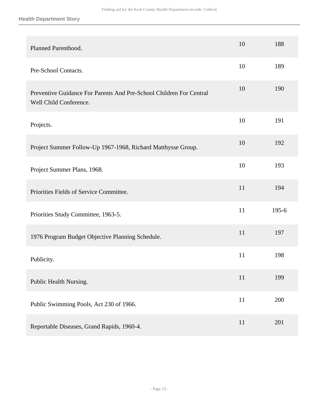| Planned Parenthood.                                                                           | 10 | 188     |
|-----------------------------------------------------------------------------------------------|----|---------|
| Pre-School Contacts.                                                                          | 10 | 189     |
| Preventive Guidance For Parents And Pre-School Children For Central<br>Well Child Conference. | 10 | 190     |
| Projects.                                                                                     | 10 | 191     |
| Project Summer Follow-Up 1967-1968, Richard Matthysse Group.                                  | 10 | 192     |
| Project Summer Plans, 1968.                                                                   | 10 | 193     |
| Priorities Fields of Service Committee.                                                       | 11 | 194     |
| Priorities Study Committee, 1963-5.                                                           | 11 | $195-6$ |
| 1976 Program Budget Objective Planning Schedule.                                              | 11 | 197     |
| Publicity.                                                                                    | 11 | 198     |
| Public Health Nursing.                                                                        | 11 | 199     |
| Public Swimming Pools, Act 230 of 1966.                                                       | 11 | 200     |
| Reportable Diseases, Grand Rapids, 1960-4.                                                    | 11 | 201     |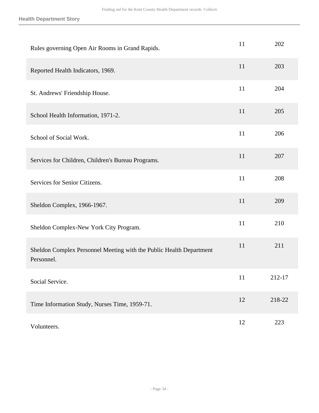| Rules governing Open Air Rooms in Grand Rapids.                                   | 11 | 202    |
|-----------------------------------------------------------------------------------|----|--------|
| Reported Health Indicators, 1969.                                                 | 11 | 203    |
| St. Andrews' Friendship House.                                                    | 11 | 204    |
| School Health Information, 1971-2.                                                | 11 | 205    |
| School of Social Work.                                                            | 11 | 206    |
| Services for Children, Children's Bureau Programs.                                | 11 | 207    |
| Services for Senior Citizens.                                                     | 11 | 208    |
| Sheldon Complex, 1966-1967.                                                       | 11 | 209    |
| Sheldon Complex-New York City Program.                                            | 11 | 210    |
| Sheldon Complex Personnel Meeting with the Public Health Department<br>Personnel. | 11 | 211    |
| Social Service.                                                                   | 11 | 212-17 |
| Time Information Study, Nurses Time, 1959-71.                                     | 12 | 218-22 |
| Volunteers.                                                                       | 12 | 223    |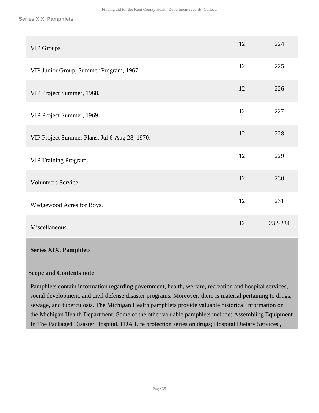#### **Series XIX. Pamphlets**

| VIP Groups.                                   | 12 | 224     |
|-----------------------------------------------|----|---------|
| VIP Junior Group, Summer Program, 1967.       | 12 | 225     |
| VIP Project Summer, 1968.                     | 12 | 226     |
| VIP Project Summer, 1969.                     | 12 | 227     |
| VIP Project Summer Plans, Jul 6-Aug 28, 1970. | 12 | 228     |
| VIP Training Program.                         | 12 | 229     |
| Volunteers Service.                           | 12 | 230     |
| Wedgewood Acres for Boys.                     | 12 | 231     |
| Miscellaneous.                                | 12 | 232-234 |

#### <span id="page-34-0"></span>**Series XIX. Pamphlets**

#### **Scope and Contents note**

Pamphlets contain information regarding government, health, welfare, recreation and hospital services, social development, and civil defense disaster programs. Moreover, there is material pertaining to drugs, sewage, and tuberculosis. The Michigan Health pamphlets provide valuable historical information on the Michigan Health Department. Some of the other valuable pamphlets include: Assembling Equipment In The Packaged Disaster Hospital, FDA Life protection series on drugs; Hospital Dietary Services ,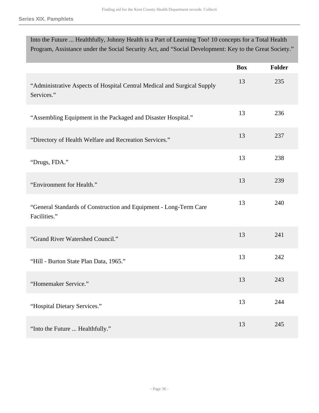| Into the Future  Healthfully, Johnny Health is a Part of Learning Too! 10 concepts for a Total Health<br>Program, Assistance under the Social Security Act, and "Social Development: Key to the Great Society." |            |               |
|-----------------------------------------------------------------------------------------------------------------------------------------------------------------------------------------------------------------|------------|---------------|
|                                                                                                                                                                                                                 |            |               |
|                                                                                                                                                                                                                 | <b>Box</b> | <b>Folder</b> |
| "Administrative Aspects of Hospital Central Medical and Surgical Supply<br>Services."                                                                                                                           | 13         | 235           |
| "Assembling Equipment in the Packaged and Disaster Hospital."                                                                                                                                                   | 13         | 236           |
| "Directory of Health Welfare and Recreation Services."                                                                                                                                                          | 13         | 237           |
| "Drugs, FDA."                                                                                                                                                                                                   | 13         | 238           |
| "Environment for Health."                                                                                                                                                                                       | 13         | 239           |
| "General Standards of Construction and Equipment - Long-Term Care<br>Facilities."                                                                                                                               | 13         | 240           |
| "Grand River Watershed Council."                                                                                                                                                                                | 13         | 241           |
| "Hill - Burton State Plan Data, 1965."                                                                                                                                                                          | 13         | 242           |
| "Homemaker Service."                                                                                                                                                                                            | 13         | 243           |
| "Hospital Dietary Services."                                                                                                                                                                                    | 13         | 244           |
| "Into the Future  Healthfully."                                                                                                                                                                                 | 13         | 245           |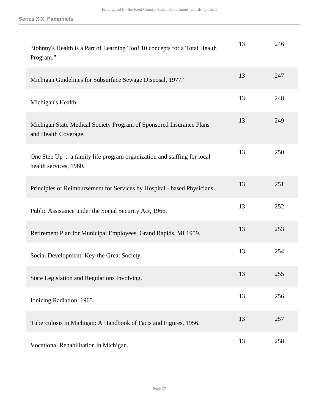| "Johnny's Health is a Part of Learning Too! 10 concepts for a Total Health<br>Program."          | 13 | 246 |
|--------------------------------------------------------------------------------------------------|----|-----|
| Michigan Guidelines for Subsurface Sewage Disposal, 1977."                                       | 13 | 247 |
| Michigan's Health.                                                                               | 13 | 248 |
| Michigan State Medical Society Program of Sponsored Insurance Plans<br>and Health Coverage.      | 13 | 249 |
| One Step Up  a family life program organization and staffing for local<br>health services, 1960. | 13 | 250 |
| Principles of Reimbursement for Services by Hospital - based Physicians.                         | 13 | 251 |
| Public Assistance under the Social Security Act, 1966.                                           | 13 | 252 |
| Retirement Plan for Municipal Employees, Grand Rapids, MI 1959.                                  | 13 | 253 |
| Social Development: Key-the Great Society.                                                       | 13 | 254 |
| State Legislation and Regulations Involving.                                                     | 13 | 255 |
| Ionizing Radiation, 1965.                                                                        | 13 | 256 |
| Tuberculosis in Michigan: A Handbook of Facts and Figures, 1956.                                 | 13 | 257 |
| Vocational Rehabilitation in Michigan.                                                           | 13 | 258 |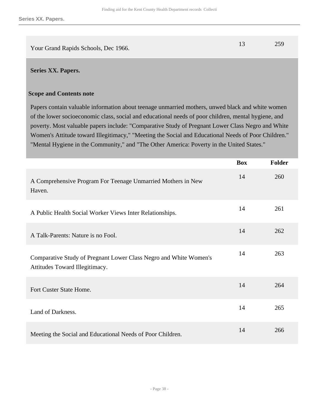|                                      | 259 |
|--------------------------------------|-----|
| Your Grand Rapids Schools, Dec 1966. |     |

#### <span id="page-37-0"></span>**Series XX. Papers.**

#### **Scope and Contents note**

Papers contain valuable information about teenage unmarried mothers, unwed black and white women of the lower socioeconomic class, social and educational needs of poor children, mental hygiene, and poverty. Most valuable papers include: "Comparative Study of Pregnant Lower Class Negro and White Women's Attitude toward Illegitimacy," "Meeting the Social and Educational Needs of Poor Children." "Mental Hygiene in the Community," and "The Other America: Poverty in the United States."

|                                                                                                     | <b>Box</b> | Folder |
|-----------------------------------------------------------------------------------------------------|------------|--------|
| A Comprehensive Program For Teenage Unmarried Mothers in New<br>Haven.                              | 14         | 260    |
| A Public Health Social Worker Views Inter Relationships.                                            | 14         | 261    |
| A Talk-Parents: Nature is no Fool.                                                                  | 14         | 262    |
| Comparative Study of Pregnant Lower Class Negro and White Women's<br>Attitudes Toward Illegitimacy. | 14         | 263    |
| Fort Custer State Home.                                                                             | 14         | 264    |
| Land of Darkness.                                                                                   | 14         | 265    |
| Meeting the Social and Educational Needs of Poor Children.                                          | 14         | 266    |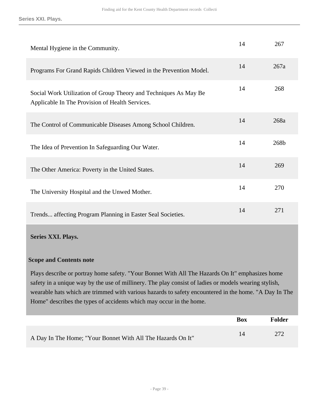| Mental Hygiene in the Community.                                                                                    | 14 | 267  |
|---------------------------------------------------------------------------------------------------------------------|----|------|
| Programs For Grand Rapids Children Viewed in the Prevention Model.                                                  | 14 | 267a |
| Social Work Utilization of Group Theory and Techniques As May Be<br>Applicable In The Provision of Health Services. | 14 | 268  |
| The Control of Communicable Diseases Among School Children.                                                         | 14 | 268a |
| The Idea of Prevention In Safeguarding Our Water.                                                                   | 14 | 268b |
| The Other America: Poverty in the United States.                                                                    | 14 | 269  |
| The University Hospital and the Unwed Mother.                                                                       | 14 | 270  |
| Trends affecting Program Planning in Easter Seal Societies.                                                         | 14 | 271  |

#### <span id="page-38-0"></span>**Series XXI. Plays.**

#### **Scope and Contents note**

Plays describe or portray home safety. "Your Bonnet With All The Hazards On It" emphasizes home safety in a unique way by the use of millinery. The play consist of ladies or models wearing stylish, wearable hats which are trimmed with various hazards to safety encountered in the home. "A Day In The Home" describes the types of accidents which may occur in the home.

|                                                             | <b>Box</b> | Folder |
|-------------------------------------------------------------|------------|--------|
| A Day In The Home; "Your Bonnet With All The Hazards On It" | 14         | 272    |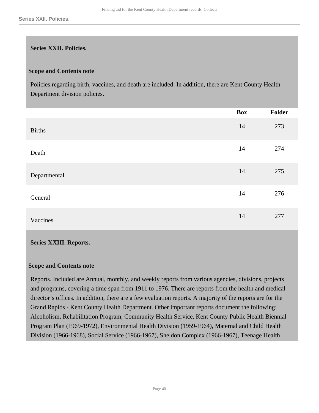#### <span id="page-39-0"></span>**Series XXII. Policies.**

#### **Scope and Contents note**

Policies regarding birth, vaccines, and death are included. In addition, there are Kent County Health Department division policies.

|               | <b>Box</b> | Folder |
|---------------|------------|--------|
| <b>Births</b> | 14         | 273    |
| Death         | 14         | 274    |
| Departmental  | 14         | 275    |
| General       | 14         | 276    |
| Vaccines      | 14         | 277    |

#### <span id="page-39-1"></span>**Series XXIII. Reports.**

#### **Scope and Contents note**

Reports. Included are Annual, monthly, and weekly reports from various agencies, divisions, projects and programs, covering a time span from 1911 to 1976. There are reports from the health and medical director's offices. In addition, there are a few evaluation reports. A majority of the reports are for the Grand Rapids - Kent County Health Department. Other important reports document the following: Alcoholism, Rehabilitation Program, Community Health Service, Kent County Public Health Biennial Program Plan (1969-1972), Environmental Health Division (1959-1964), Maternal and Child Health Division (1966-1968), Social Service (1966-1967), Sheldon Complex (1966-1967), Teenage Health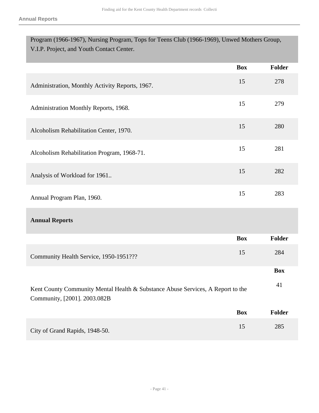| Program (1966-1967), Nursing Program, Tops for Teens Club (1966-1969), Unwed Mothers Group,<br>V.I.P. Project, and Youth Contact Center. |            |               |
|------------------------------------------------------------------------------------------------------------------------------------------|------------|---------------|
|                                                                                                                                          |            |               |
|                                                                                                                                          | <b>Box</b> | <b>Folder</b> |
| Administration, Monthly Activity Reports, 1967.                                                                                          | 15         | 278           |
| Administration Monthly Reports, 1968.                                                                                                    | 15         | 279           |
| Alcoholism Rehabilitation Center, 1970.                                                                                                  | 15         | 280           |
| Alcoholism Rehabilitation Program, 1968-71.                                                                                              | 15         | 281           |
| Analysis of Workload for 1961                                                                                                            | 15         | 282           |
| Annual Program Plan, 1960.                                                                                                               | 15         | 283           |
| <b>Annual Reports</b>                                                                                                                    |            |               |
|                                                                                                                                          | <b>Box</b> | <b>Folder</b> |
| Community Health Service, 1950-1951???                                                                                                   | 15         | 284           |
|                                                                                                                                          |            | <b>Box</b>    |
| Kent County Community Mental Health & Substance Abuse Services, A Report to the<br>Community, [2001]. 2003.082B                          |            | 41            |
|                                                                                                                                          | <b>Box</b> | <b>Folder</b> |
| City of Grand Rapids, 1948-50.                                                                                                           | 15         | 285           |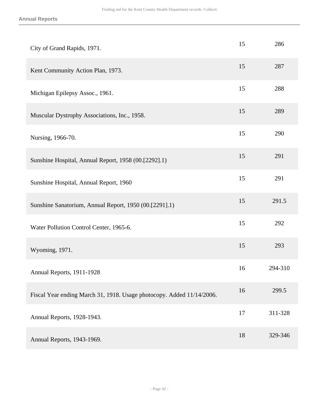| City of Grand Rapids, 1971.                                           | 15 | 286     |
|-----------------------------------------------------------------------|----|---------|
| Kent Community Action Plan, 1973.                                     | 15 | 287     |
| Michigan Epilepsy Assoc., 1961.                                       | 15 | 288     |
| Muscular Dystrophy Associations, Inc., 1958.                          | 15 | 289     |
| Nursing, 1966-70.                                                     | 15 | 290     |
| Sunshine Hospital, Annual Report, 1958 (00.[2292].1)                  | 15 | 291     |
| Sunshine Hospital, Annual Report, 1960                                | 15 | 291     |
| Sunshine Sanatorium, Annual Report, 1950 (00.[2291].1)                | 15 | 291.5   |
| Water Pollution Control Center, 1965-6.                               | 15 | 292     |
| Wyoming, 1971.                                                        | 15 | 293     |
| Annual Reports, 1911-1928                                             | 16 | 294-310 |
| Fiscal Year ending March 31, 1918. Usage photocopy. Added 11/14/2006. | 16 | 299.5   |
| Annual Reports, 1928-1943.                                            | 17 | 311-328 |
| Annual Reports, 1943-1969.                                            | 18 | 329-346 |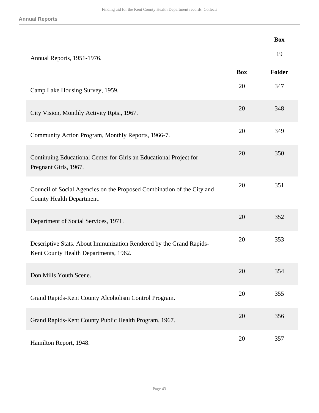|                                                                                                              |            | <b>Box</b> |
|--------------------------------------------------------------------------------------------------------------|------------|------------|
| Annual Reports, 1951-1976.                                                                                   |            | 19         |
|                                                                                                              | <b>Box</b> | Folder     |
| Camp Lake Housing Survey, 1959.                                                                              | 20         | 347        |
| City Vision, Monthly Activity Rpts., 1967.                                                                   | 20         | 348        |
| Community Action Program, Monthly Reports, 1966-7.                                                           | 20         | 349        |
| Continuing Educational Center for Girls an Educational Project for<br>Pregnant Girls, 1967.                  | 20         | 350        |
| Council of Social Agencies on the Proposed Combination of the City and<br>County Health Department.          | 20         | 351        |
| Department of Social Services, 1971.                                                                         | 20         | 352        |
| Descriptive Stats. About Immunization Rendered by the Grand Rapids-<br>Kent County Health Departments, 1962. | 20         | 353        |
| Don Mills Youth Scene.                                                                                       | 20         | 354        |
| Grand Rapids-Kent County Alcoholism Control Program.                                                         | 20         | 355        |
| Grand Rapids-Kent County Public Health Program, 1967.                                                        | 20         | 356        |
| Hamilton Report, 1948.                                                                                       | 20         | 357        |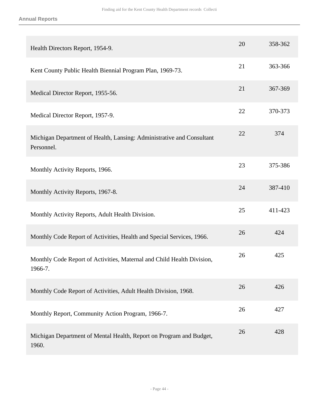| Health Directors Report, 1954-9.                                                    | 20 | 358-362 |
|-------------------------------------------------------------------------------------|----|---------|
| Kent County Public Health Biennial Program Plan, 1969-73.                           | 21 | 363-366 |
| Medical Director Report, 1955-56.                                                   | 21 | 367-369 |
| Medical Director Report, 1957-9.                                                    | 22 | 370-373 |
| Michigan Department of Health, Lansing: Administrative and Consultant<br>Personnel. | 22 | 374     |
| Monthly Activity Reports, 1966.                                                     | 23 | 375-386 |
| Monthly Activity Reports, 1967-8.                                                   | 24 | 387-410 |
| Monthly Activity Reports, Adult Health Division.                                    | 25 | 411-423 |
| Monthly Code Report of Activities, Health and Special Services, 1966.               | 26 | 424     |
| Monthly Code Report of Activities, Maternal and Child Health Division,<br>1966-7.   | 26 | 425     |
| Monthly Code Report of Activities, Adult Health Division, 1968.                     | 26 | 426     |
| Monthly Report, Community Action Program, 1966-7.                                   | 26 | 427     |
| Michigan Department of Mental Health, Report on Program and Budget,<br>1960.        | 26 | 428     |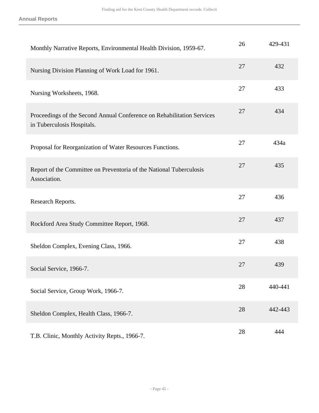**Annual Reports**

| Monthly Narrative Reports, Environmental Health Division, 1959-67.                                   | 26 | 429-431 |
|------------------------------------------------------------------------------------------------------|----|---------|
| Nursing Division Planning of Work Load for 1961.                                                     | 27 | 432     |
| Nursing Worksheets, 1968.                                                                            | 27 | 433     |
| Proceedings of the Second Annual Conference on Rehabilitation Services<br>in Tuberculosis Hospitals. | 27 | 434     |
| Proposal for Reorganization of Water Resources Functions.                                            | 27 | 434a    |
| Report of the Committee on Preventoria of the National Tuberculosis<br>Association.                  | 27 | 435     |
| Research Reports.                                                                                    | 27 | 436     |
| Rockford Area Study Committee Report, 1968.                                                          | 27 | 437     |
| Sheldon Complex, Evening Class, 1966.                                                                | 27 | 438     |
| Social Service, 1966-7.                                                                              | 27 | 439     |
| Social Service, Group Work, 1966-7.                                                                  | 28 | 440-441 |
| Sheldon Complex, Health Class, 1966-7.                                                               | 28 | 442-443 |
| T.B. Clinic, Monthly Activity Repts., 1966-7.                                                        | 28 | 444     |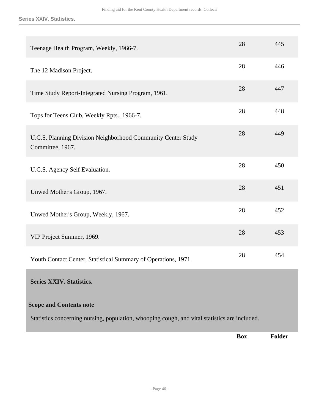**Series XXIV. Statistics.**

<span id="page-45-0"></span>

|                                                                                                                                 | <b>Box</b> | <b>Folder</b> |
|---------------------------------------------------------------------------------------------------------------------------------|------------|---------------|
| <b>Scope and Contents note</b><br>Statistics concerning nursing, population, whooping cough, and vital statistics are included. |            |               |
| <b>Series XXIV. Statistics.</b>                                                                                                 |            |               |
| Youth Contact Center, Statistical Summary of Operations, 1971.                                                                  | 28         | 454           |
| VIP Project Summer, 1969.                                                                                                       | 28         | 453           |
| Unwed Mother's Group, Weekly, 1967.                                                                                             | 28         | 452           |
| Unwed Mother's Group, 1967.                                                                                                     | 28         | 451           |
| U.C.S. Agency Self Evaluation.                                                                                                  | 28         | 450           |
| U.C.S. Planning Division Neighborhood Community Center Study<br>Committee, 1967.                                                | 28         | 449           |
| Tops for Teens Club, Weekly Rpts., 1966-7.                                                                                      | 28         | 448           |
| Time Study Report-Integrated Nursing Program, 1961.                                                                             | 28         | 447           |
| The 12 Madison Project.                                                                                                         | 28         | 446           |
| Teenage Health Program, Weekly, 1966-7.                                                                                         | 28         | 445           |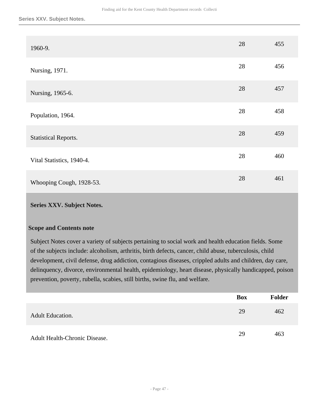| 1960-9.                     | 28 | 455 |
|-----------------------------|----|-----|
| Nursing, 1971.              | 28 | 456 |
| Nursing, 1965-6.            | 28 | 457 |
| Population, 1964.           | 28 | 458 |
| <b>Statistical Reports.</b> | 28 | 459 |
| Vital Statistics, 1940-4.   | 28 | 460 |
| Whooping Cough, 1928-53.    | 28 | 461 |

#### <span id="page-46-0"></span>**Scope and Contents note**

Subject Notes cover a variety of subjects pertaining to social work and health education fields. Some of the subjects include: alcoholism, arthritis, birth defects, cancer, child abuse, tuberculosis, child development, civil defense, drug addiction, contagious diseases, crippled adults and children, day care, delinquency, divorce, environmental health, epidemiology, heart disease, physically handicapped, poison prevention, poverty, rubella, scabies, still births, swine flu, and welfare.

|                               | <b>Box</b> | Folder |
|-------------------------------|------------|--------|
| <b>Adult Education.</b>       | 29         | 462    |
| Adult Health-Chronic Disease. | 29         | 463    |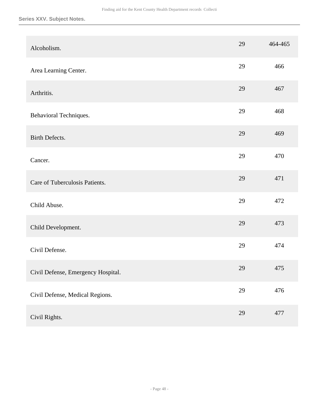| Alcoholism.                        | 29 | 464-465 |
|------------------------------------|----|---------|
| Area Learning Center.              | 29 | 466     |
| Arthritis.                         | 29 | 467     |
| Behavioral Techniques.             | 29 | 468     |
| Birth Defects.                     | 29 | 469     |
| Cancer.                            | 29 | 470     |
| Care of Tuberculosis Patients.     | 29 | 471     |
| Child Abuse.                       | 29 | 472     |
| Child Development.                 | 29 | 473     |
| Civil Defense.                     | 29 | 474     |
| Civil Defense, Emergency Hospital. | 29 | 475     |
| Civil Defense, Medical Regions.    | 29 | 476     |
| Civil Rights.                      | 29 | 477     |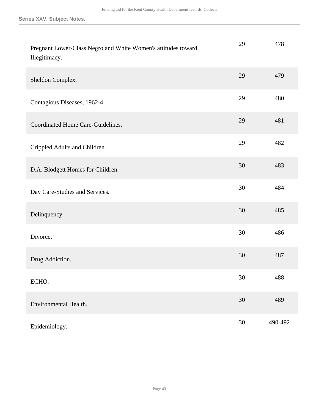| Pregnant Lower-Class Negro and White Women's attitudes toward<br>Illegitimacy. | 29 | 478     |
|--------------------------------------------------------------------------------|----|---------|
| Sheldon Complex.                                                               | 29 | 479     |
| Contagious Diseases, 1962-4.                                                   | 29 | 480     |
| Coordinated Home Care-Guidelines.                                              | 29 | 481     |
| Crippled Adults and Children.                                                  | 29 | 482     |
| D.A. Blodgett Homes for Children.                                              | 30 | 483     |
| Day Care-Studies and Services.                                                 | 30 | 484     |
| Delinquency.                                                                   | 30 | 485     |
| Divorce.                                                                       | 30 | 486     |
| Drug Addiction.                                                                | 30 | 487     |
| ECHO.                                                                          | 30 | 488     |
| Environmental Health.                                                          | 30 | 489     |
| Epidemiology.                                                                  | 30 | 490-492 |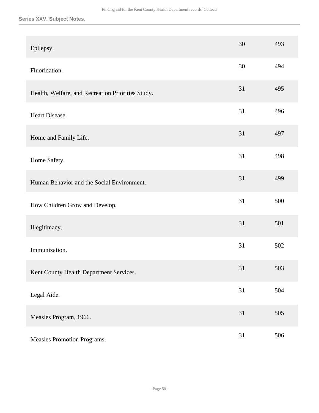| Epilepsy.                                         | 30 | 493 |
|---------------------------------------------------|----|-----|
| Fluoridation.                                     | 30 | 494 |
| Health, Welfare, and Recreation Priorities Study. | 31 | 495 |
| Heart Disease.                                    | 31 | 496 |
| Home and Family Life.                             | 31 | 497 |
| Home Safety.                                      | 31 | 498 |
| Human Behavior and the Social Environment.        | 31 | 499 |
| How Children Grow and Develop.                    | 31 | 500 |
| Illegitimacy.                                     | 31 | 501 |
| Immunization.                                     | 31 | 502 |
| Kent County Health Department Services.           | 31 | 503 |
| Legal Aide.                                       | 31 | 504 |
| Measles Program, 1966.                            | 31 | 505 |
| Measles Promotion Programs.                       | 31 | 506 |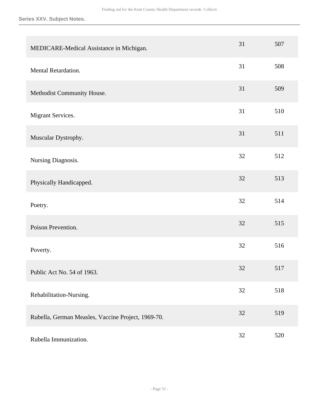| MEDICARE-Medical Assistance in Michigan.           | 31 | 507 |
|----------------------------------------------------|----|-----|
| Mental Retardation.                                | 31 | 508 |
| Methodist Community House.                         | 31 | 509 |
| Migrant Services.                                  | 31 | 510 |
| Muscular Dystrophy.                                | 31 | 511 |
| Nursing Diagnosis.                                 | 32 | 512 |
| Physically Handicapped.                            | 32 | 513 |
| Poetry.                                            | 32 | 514 |
| Poison Prevention.                                 | 32 | 515 |
| Poverty.                                           | 32 | 516 |
| Public Act No. 54 of 1963.                         | 32 | 517 |
| Rehabilitation-Nursing.                            | 32 | 518 |
| Rubella, German Measles, Vaccine Project, 1969-70. | 32 | 519 |
| Rubella Immunization.                              | 32 | 520 |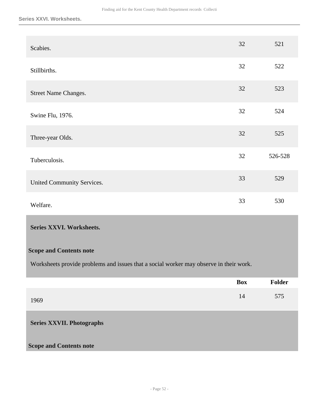#### **Series XXVI. Worksheets.**

| Scabies.                    | 32 | 521     |
|-----------------------------|----|---------|
| Stillbirths.                | 32 | 522     |
| <b>Street Name Changes.</b> | 32 | 523     |
| Swine Flu, 1976.            | 32 | 524     |
| Three-year Olds.            | 32 | 525     |
| Tuberculosis.               | 32 | 526-528 |
| United Community Services.  | 33 | 529     |
| Welfare.                    | 33 | 530     |

#### <span id="page-51-0"></span>**Series XXVI. Worksheets.**

#### **Scope and Contents note**

Worksheets provide problems and issues that a social worker may observe in their work.

<span id="page-51-1"></span>

|                                  | <b>Box</b> | <b>Folder</b> |
|----------------------------------|------------|---------------|
| 1969                             | 14         | 575           |
| <b>Series XXVII. Photographs</b> |            |               |
| <b>Scope and Contents note</b>   |            |               |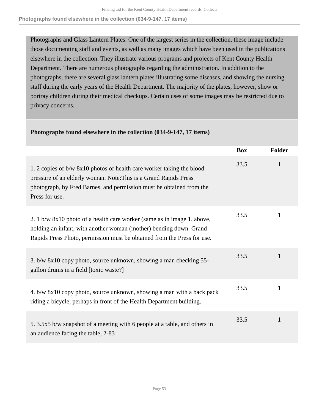Photographs and Glass Lantern Plates. One of the largest series in the collection, these image include those documenting staff and events, as well as many images which have been used in the publications elsewhere in the collection. They illustrate various programs and projects of Kent County Health Department. There are numerous photographs regarding the administration. In addition to the photographs, there are several glass lantern plates illustrating some diseases, and showing the nursing staff during the early years of the Health Department. The majority of the plates, however, show or portray children during their medical checkups. Certain uses of some images may be restricted due to privacy concerns.

|                                                                                                                                                                                                                                     | <b>Box</b> | <b>Folder</b> |
|-------------------------------------------------------------------------------------------------------------------------------------------------------------------------------------------------------------------------------------|------------|---------------|
| 1. 2 copies of b/w 8x10 photos of health care worker taking the blood<br>pressure of an elderly woman. Note: This is a Grand Rapids Press<br>photograph, by Fred Barnes, and permission must be obtained from the<br>Press for use. | 33.5       | 1             |
| 2. 1 b/w 8x10 photo of a health care worker (same as in image 1. above,<br>holding an infant, with another woman (mother) bending down. Grand<br>Rapids Press Photo, permission must be obtained from the Press for use.            | 33.5       | 1             |
| 3. b/w 8x10 copy photo, source unknown, showing a man checking 55-<br>gallon drums in a field [toxic waste?]                                                                                                                        | 33.5       |               |
| 4. b/w 8x10 copy photo, source unknown, showing a man with a back pack<br>riding a bicycle, perhaps in front of the Health Department building.                                                                                     | 33.5       | 1             |
| 5. 3.5x5 b/w snapshot of a meeting with 6 people at a table, and others in<br>an audience facing the table, 2-83                                                                                                                    | 33.5       | 1             |

#### **Photographs found elsewhere in the collection (034-9-147, 17 items)**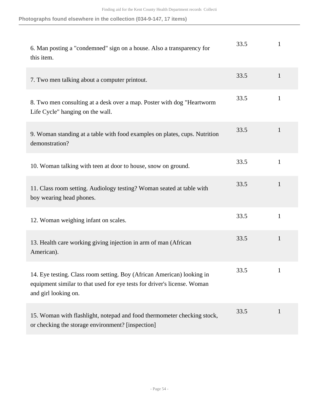**Photographs found elsewhere in the collection (034-9-147, 17 items)**

| 6. Man posting a "condemned" sign on a house. Also a transparency for<br>this item.                                                                                        | 33.5 | 1            |
|----------------------------------------------------------------------------------------------------------------------------------------------------------------------------|------|--------------|
| 7. Two men talking about a computer printout.                                                                                                                              | 33.5 | $\mathbf{1}$ |
| 8. Two men consulting at a desk over a map. Poster with dog "Heartworm"<br>Life Cycle" hanging on the wall.                                                                | 33.5 | $\mathbf{1}$ |
| 9. Woman standing at a table with food examples on plates, cups. Nutrition<br>demonstration?                                                                               | 33.5 | 1            |
| 10. Woman talking with teen at door to house, snow on ground.                                                                                                              | 33.5 | $\mathbf{1}$ |
| 11. Class room setting. Audiology testing? Woman seated at table with<br>boy wearing head phones.                                                                          | 33.5 | $\mathbf{1}$ |
| 12. Woman weighing infant on scales.                                                                                                                                       | 33.5 | $\mathbf{1}$ |
| 13. Health care working giving injection in arm of man (African<br>American).                                                                                              | 33.5 | 1            |
| 14. Eye testing. Class room setting. Boy (African American) looking in<br>equipment similar to that used for eye tests for driver's license. Woman<br>and girl looking on. | 33.5 |              |
| 15. Woman with flashlight, notepad and food thermometer checking stock,<br>or checking the storage environment? [inspection]                                               | 33.5 | $\mathbf{1}$ |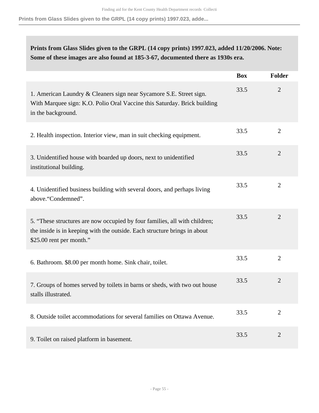**Prints from Glass Slides given to the GRPL (14 copy prints) 1997.023, adde...**

## **Prints from Glass Slides given to the GRPL (14 copy prints) 1997.023, added 11/20/2006. Note: Some of these images are also found at 185-3-67, documented there as 1930s era.**

|                                                                                                                                                                                     | <b>Box</b> | Folder         |
|-------------------------------------------------------------------------------------------------------------------------------------------------------------------------------------|------------|----------------|
| 1. American Laundry & Cleaners sign near Sycamore S.E. Street sign.<br>With Marquee sign: K.O. Polio Oral Vaccine this Saturday. Brick building<br>in the background.               | 33.5       | $\overline{2}$ |
| 2. Health inspection. Interior view, man in suit checking equipment.                                                                                                                | 33.5       | $\overline{2}$ |
| 3. Unidentified house with boarded up doors, next to unidentified<br>institutional building.                                                                                        | 33.5       | $\overline{2}$ |
| 4. Unidentified business building with several doors, and perhaps living<br>above."Condemned".                                                                                      | 33.5       | $\overline{2}$ |
| 5. "These structures are now occupied by four families, all with children;<br>the inside is in keeping with the outside. Each structure brings in about<br>\$25.00 rent per month." | 33.5       | $\overline{2}$ |
| 6. Bathroom. \$8.00 per month home. Sink chair, toilet.                                                                                                                             | 33.5       | $\overline{2}$ |
| 7. Groups of homes served by toilets in barns or sheds, with two out house<br>stalls illustrated.                                                                                   | 33.5       | $\overline{2}$ |
| 8. Outside toilet accommodations for several families on Ottawa Avenue.                                                                                                             | 33.5       | 2              |
| 9. Toilet on raised platform in basement.                                                                                                                                           | 33.5       | $\overline{2}$ |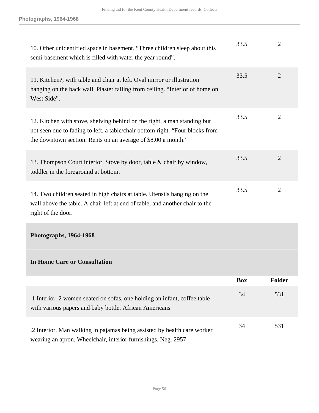| 10. Other unidentified space in basement. "Three children sleep about this<br>semi-basement which is filled with water the year round".                                                                                    | 33.5 | $\overline{2}$ |
|----------------------------------------------------------------------------------------------------------------------------------------------------------------------------------------------------------------------------|------|----------------|
| 11. Kitchen?, with table and chair at left. Oval mirror or illustration<br>hanging on the back wall. Plaster falling from ceiling. "Interior of home on<br>West Side".                                                     | 33.5 | $\overline{2}$ |
| 12. Kitchen with stove, shelving behind on the right, a man standing but<br>not seen due to fading to left, a table/chair bottom right. "Four blocks from<br>the downtown section. Rents on an average of \$8.00 a month." | 33.5 | $\overline{2}$ |
| 13. Thompson Court interior. Stove by door, table & chair by window,<br>toddler in the foreground at bottom.                                                                                                               | 33.5 | $\overline{2}$ |
| 14. Two children seated in high chairs at table. Utensils hanging on the<br>wall above the table. A chair left at end of table, and another chair to the<br>right of the door.                                             | 33.5 | $\overline{2}$ |
| Photographs, 1964-1968                                                                                                                                                                                                     |      |                |
|                                                                                                                                                                                                                            |      |                |

### **In Home Care or Consultation**

|                                                                                                                                           | <b>Box</b> | <b>Folder</b> |
|-------------------------------------------------------------------------------------------------------------------------------------------|------------|---------------|
| .1 Interior. 2 women seated on sofas, one holding an infant, coffee table<br>with various papers and baby bottle. African Americans       | 34         | 531           |
| .2 Interior. Man walking in pajamas being assisted by health care worker<br>wearing an apron. Wheelchair, interior furnishings. Neg. 2957 | 34         | 531           |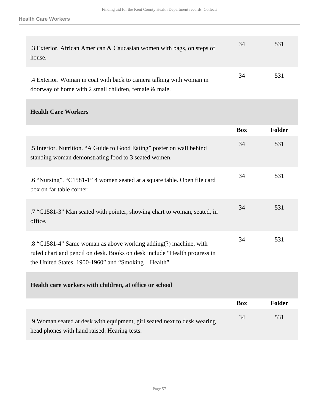| .3 Exterior. African American & Caucasian women with bags, on steps of<br>house.                                                 | 34 | 531 |
|----------------------------------------------------------------------------------------------------------------------------------|----|-----|
| .4 Exterior. Woman in coat with back to camera talking with woman in<br>doorway of home with 2 small children, female $\&$ male. | 34 | 531 |

#### **Health Care Workers**

|                                                                                                                                                                                                        | <b>Box</b> | Folder        |
|--------------------------------------------------------------------------------------------------------------------------------------------------------------------------------------------------------|------------|---------------|
| .5 Interior. Nutrition. "A Guide to Good Eating" poster on wall behind<br>standing woman demonstrating food to 3 seated women.                                                                         | 34         | 531           |
| .6 "Nursing". "C1581-1" 4 women seated at a square table. Open file card<br>box on far table corner.                                                                                                   | 34         | 531           |
| .7 "C1581-3" Man seated with pointer, showing chart to woman, seated, in<br>office.                                                                                                                    | 34         | 531           |
| .8 "C1581-4" Same woman as above working adding(?) machine, with<br>ruled chart and pencil on desk. Books on desk include "Health progress in<br>the United States, 1900-1960" and "Smoking – Health". | 34         | 531           |
| Health care workers with children, at office or school                                                                                                                                                 |            |               |
|                                                                                                                                                                                                        | <b>Box</b> | <b>Folder</b> |
| .9 Woman seated at desk with equipment, girl seated next to desk wearing<br>head phones with hand raised. Hearing tests.                                                                               | 34         | 531           |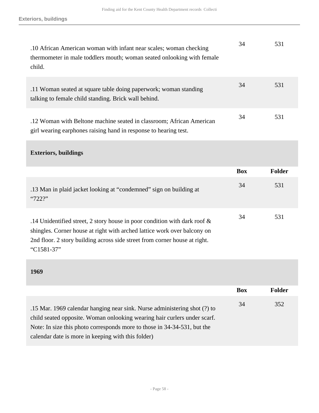| .10 African American woman with infant near scales; woman checking<br>thermometer in male toddlers mouth; woman seated onlooking with female<br>child. | 34 | 531 |
|--------------------------------------------------------------------------------------------------------------------------------------------------------|----|-----|
| .11 Woman seated at square table doing paperwork; woman standing<br>talking to female child standing. Brick wall behind.                               | 34 | 531 |
| .12 Woman with Beltone machine seated in classroom; African American<br>girl wearing earphones raising hand in response to hearing test.               | 34 | 531 |

#### **Exteriors, buildings**

|                                                                                                                                                                                                                                        | <b>Box</b> | Folder |
|----------------------------------------------------------------------------------------------------------------------------------------------------------------------------------------------------------------------------------------|------------|--------|
| .13 Man in plaid jacket looking at "condemned" sign on building at<br>"722?"                                                                                                                                                           | 34         | 531    |
| .14 Unidentified street, 2 story house in poor condition with dark roof $\&$<br>shingles. Corner house at right with arched lattice work over balcony on<br>2nd floor. 2 story building across side street from corner house at right. | 34         | 531    |

"C1581-37"

#### **1969**

|                                                                           | <b>Box</b> | Folder |
|---------------------------------------------------------------------------|------------|--------|
| .15 Mar. 1969 calendar hanging near sink. Nurse administering shot (?) to | 34         | 352    |
| child seated opposite. Woman onlooking wearing hair curlers under scarf.  |            |        |
| Note: In size this photo corresponds more to those in 34-34-531, but the  |            |        |
| calendar date is more in keeping with this folder)                        |            |        |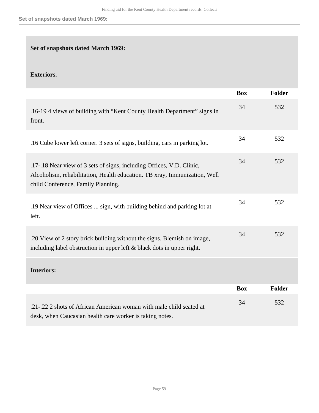#### **Set of snapshots dated March 1969:**

#### **Exteriors.**

|                                                                                                                                                                                          | <b>Box</b> | <b>Folder</b> |
|------------------------------------------------------------------------------------------------------------------------------------------------------------------------------------------|------------|---------------|
| .16-19 4 views of building with "Kent County Health Department" signs in<br>front.                                                                                                       | 34         | 532           |
| .16 Cube lower left corner. 3 sets of signs, building, cars in parking lot.                                                                                                              | 34         | 532           |
| .17-.18 Near view of 3 sets of signs, including Offices, V.D. Clinic,<br>Alcoholism, rehabilitation, Health education. TB xray, Immunization, Well<br>child Conference, Family Planning. | 34         | 532           |
| .19 Near view of Offices  sign, with building behind and parking lot at<br>left.                                                                                                         | 34         | 532           |
| .20 View of 2 story brick building without the signs. Blemish on image,<br>including label obstruction in upper left $\&$ black dots in upper right.                                     | 34         | 532           |
| <b>Interiors:</b>                                                                                                                                                                        |            |               |
|                                                                                                                                                                                          | <b>Box</b> | <b>Folder</b> |
| .21-.22 2 shots of African American woman with male child seated at<br>desk, when Caucasian health care worker is taking notes.                                                          | 34         | 532           |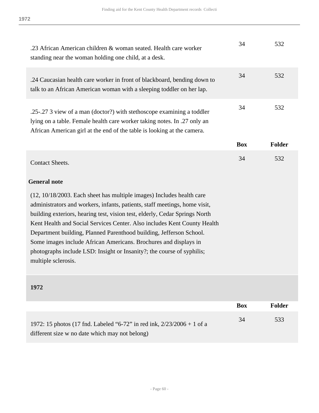| .23 African American children & woman seated. Health care worker<br>standing near the woman holding one child, at a desk.                                                                                                                                                                                                                                                                                                                                                                                                                                  | 34         | 532           |
|------------------------------------------------------------------------------------------------------------------------------------------------------------------------------------------------------------------------------------------------------------------------------------------------------------------------------------------------------------------------------------------------------------------------------------------------------------------------------------------------------------------------------------------------------------|------------|---------------|
| .24 Caucasian health care worker in front of blackboard, bending down to<br>talk to an African American woman with a sleeping toddler on her lap.                                                                                                                                                                                                                                                                                                                                                                                                          | 34         | 532           |
| .25-.27 3 view of a man (doctor?) with stethoscope examining a toddler<br>lying on a table. Female health care worker taking notes. In .27 only an<br>African American girl at the end of the table is looking at the camera.                                                                                                                                                                                                                                                                                                                              | 34         | 532           |
|                                                                                                                                                                                                                                                                                                                                                                                                                                                                                                                                                            | <b>Box</b> | <b>Folder</b> |
| <b>Contact Sheets.</b>                                                                                                                                                                                                                                                                                                                                                                                                                                                                                                                                     | 34         | 532           |
| <b>General note</b>                                                                                                                                                                                                                                                                                                                                                                                                                                                                                                                                        |            |               |
| (12, 10/18/2003. Each sheet has multiple images) Includes health care<br>administrators and workers, infants, patients, staff meetings, home visit,<br>building exteriors, hearing test, vision test, elderly, Cedar Springs North<br>Kent Health and Social Services Center. Also includes Kent County Health<br>Department building, Planned Parenthood building, Jefferson School.<br>Some images include African Americans. Brochures and displays in<br>photographs include LSD: Insight or Insanity?; the course of syphilis;<br>multiple sclerosis. |            |               |

#### **1972**

|                                                                          | <b>Box</b> | Folder |
|--------------------------------------------------------------------------|------------|--------|
| 1972: 15 photos (17 fnd. Labeled "6-72" in red ink, $2/23/2006 + 1$ of a | 34         | 533    |
| different size w no date which may not belong)                           |            |        |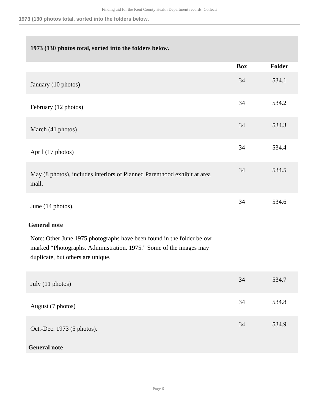**1973 (130 photos total, sorted into the folders below.**

#### **1973 (130 photos total, sorted into the folders below.**

|                                                                                                                                                                                  | <b>Box</b> | Folder |
|----------------------------------------------------------------------------------------------------------------------------------------------------------------------------------|------------|--------|
| January (10 photos)                                                                                                                                                              | 34         | 534.1  |
| February (12 photos)                                                                                                                                                             | 34         | 534.2  |
| March (41 photos)                                                                                                                                                                | 34         | 534.3  |
| April (17 photos)                                                                                                                                                                | 34         | 534.4  |
| May (8 photos), includes interiors of Planned Parenthood exhibit at area<br>mall.                                                                                                | 34         | 534.5  |
| June (14 photos).                                                                                                                                                                | 34         | 534.6  |
| <b>General note</b>                                                                                                                                                              |            |        |
| Note: Other June 1975 photographs have been found in the folder below<br>marked "Photographs. Administration. 1975." Some of the images may<br>duplicate, but others are unique. |            |        |
| July (11 photos)                                                                                                                                                                 | 34         | 534.7  |
| August (7 photos)                                                                                                                                                                | 34         | 534.8  |
| Oct.-Dec. 1973 (5 photos).                                                                                                                                                       | 34         | 534.9  |

#### **General note**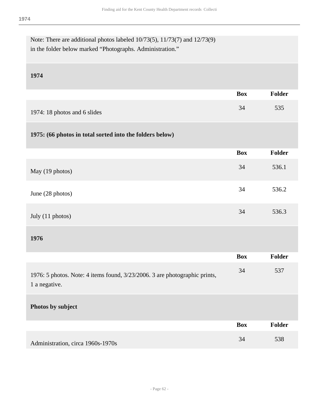| Note: There are additional photos labeled 10/73(5), 11/73(7) and 12/73(9)<br>in the folder below marked "Photographs. Administration." |            |               |
|----------------------------------------------------------------------------------------------------------------------------------------|------------|---------------|
| 1974                                                                                                                                   |            |               |
|                                                                                                                                        | <b>Box</b> | Folder        |
| 1974: 18 photos and 6 slides                                                                                                           | 34         | 535           |
| 1975: (66 photos in total sorted into the folders below)                                                                               |            |               |
|                                                                                                                                        | <b>Box</b> | Folder        |
| May (19 photos)                                                                                                                        | 34         | 536.1         |
| June (28 photos)                                                                                                                       | 34         | 536.2         |
| July (11 photos)                                                                                                                       | 34         | 536.3         |
| 1976                                                                                                                                   |            |               |
|                                                                                                                                        | <b>Box</b> | <b>Folder</b> |
| 1976: 5 photos. Note: 4 items found, 3/23/2006. 3 are photographic prints,<br>1 a negative.                                            | 34         | 537           |
| Photos by subject                                                                                                                      |            |               |
|                                                                                                                                        | <b>Box</b> | Folder        |
| Administration, circa 1960s-1970s                                                                                                      | 34         | 538           |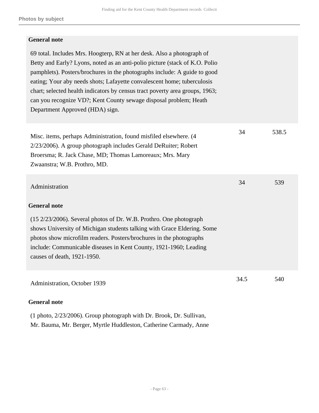#### **General note**

| 69 total. Includes Mrs. Hoogterp, RN at her desk. Also a photograph of<br>Betty and Early? Lyons, noted as an anti-polio picture (stack of K.O. Polio<br>pamphlets). Posters/brochures in the photographs include: A guide to good<br>eating; Your aby needs shots; Lafayette convalescent home; tuberculosis<br>chart; selected health indicators by census tract poverty area groups, 1963;<br>can you recognize VD?; Kent County sewage disposal problem; Heath<br>Department Approved (HDA) sign. |      |       |
|-------------------------------------------------------------------------------------------------------------------------------------------------------------------------------------------------------------------------------------------------------------------------------------------------------------------------------------------------------------------------------------------------------------------------------------------------------------------------------------------------------|------|-------|
| Misc. items, perhaps Administration, found misfiled elsewhere. (4<br>2/23/2006). A group photograph includes Gerald DeRuiter; Robert<br>Broersma; R. Jack Chase, MD; Thomas Lamoreaux; Mrs. Mary<br>Zwaanstra; W.B. Prothro, MD.                                                                                                                                                                                                                                                                      | 34   | 538.5 |
| Administration<br><b>General note</b>                                                                                                                                                                                                                                                                                                                                                                                                                                                                 | 34   | 539   |
| (15 2/23/2006). Several photos of Dr. W.B. Prothro. One photograph<br>shows University of Michigan students talking with Grace Eldering. Some<br>photos show microfilm readers. Posters/brochures in the photographs<br>include: Communicable diseases in Kent County, 1921-1960; Leading<br>causes of death, 1921-1950.                                                                                                                                                                              |      |       |
| Administration, October 1939<br><b>General note</b>                                                                                                                                                                                                                                                                                                                                                                                                                                                   | 34.5 | 540   |

(1 photo, 2/23/2006). Group photograph with Dr. Brook, Dr. Sullivan, Mr. Bauma, Mr. Berger, Myrtle Huddleston, Catherine Carmady, Anne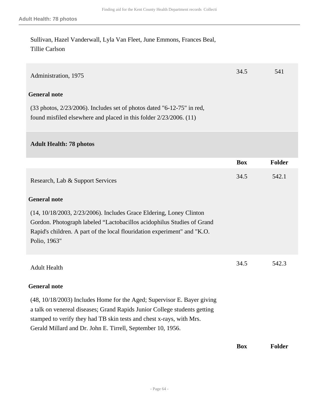Sullivan, Hazel Vanderwall, Lyla Van Fleet, June Emmons, Frances Beal, Tillie Carlson

| Administration, 1975                                                                                                                                                                                                                                                                        | 34.5       | 541           |
|---------------------------------------------------------------------------------------------------------------------------------------------------------------------------------------------------------------------------------------------------------------------------------------------|------------|---------------|
| <b>General note</b>                                                                                                                                                                                                                                                                         |            |               |
| $(33 \text{ photos}, \frac{2}{23}/2006)$ . Includes set of photos dated "6-12-75" in red,<br>found misfiled elsewhere and placed in this folder $2/23/2006$ . (11)                                                                                                                          |            |               |
| <b>Adult Health: 78 photos</b>                                                                                                                                                                                                                                                              |            |               |
|                                                                                                                                                                                                                                                                                             | <b>Box</b> | <b>Folder</b> |
| Research, Lab & Support Services                                                                                                                                                                                                                                                            | 34.5       | 542.1         |
| <b>General note</b>                                                                                                                                                                                                                                                                         |            |               |
| (14, 10/18/2003, 2/23/2006). Includes Grace Eldering, Loney Clinton<br>Gordon. Photograph labeled "Lactobacillos acidophilus Studies of Grand<br>Rapid's children. A part of the local flouridation experiment" and "K.O.<br>Polio, 1963"                                                   |            |               |
| <b>Adult Health</b>                                                                                                                                                                                                                                                                         | 34.5       | 542.3         |
| <b>General note</b>                                                                                                                                                                                                                                                                         |            |               |
| (48, 10/18/2003) Includes Home for the Aged; Supervisor E. Bayer giving<br>a talk on venereal diseases; Grand Rapids Junior College students getting<br>stamped to verify they had TB skin tests and chest x-rays, with Mrs.<br>Gerald Millard and Dr. John E. Tirrell, September 10, 1956. |            |               |
|                                                                                                                                                                                                                                                                                             | <b>Box</b> | <b>Folder</b> |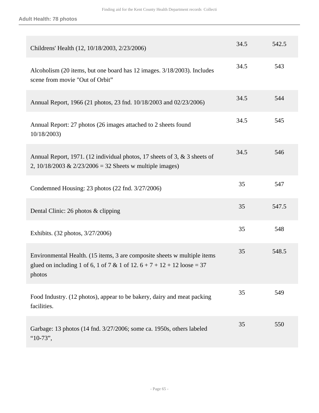| Childrens' Health (12, 10/18/2003, 2/23/2006)                                                                                                                   | 34.5 | 542.5 |
|-----------------------------------------------------------------------------------------------------------------------------------------------------------------|------|-------|
| Alcoholism (20 items, but one board has 12 images. 3/18/2003). Includes<br>scene from movie "Out of Orbit"                                                      | 34.5 | 543   |
| Annual Report, 1966 (21 photos, 23 fnd. 10/18/2003 and 02/23/2006)                                                                                              | 34.5 | 544   |
| Annual Report: 27 photos (26 images attached to 2 sheets found<br>10/18/2003)                                                                                   | 34.5 | 545   |
| Annual Report, 1971. (12 individual photos, 17 sheets of 3, & 3 sheets of<br>2, $10/18/2003 \& 2/23/2006 = 32$ Sheets w multiple images)                        | 34.5 | 546   |
| Condemned Housing: 23 photos (22 fnd. 3/27/2006)                                                                                                                | 35   | 547   |
| Dental Clinic: 26 photos & clipping                                                                                                                             | 35   | 547.5 |
| Exhibits. (32 photos, 3/27/2006)                                                                                                                                | 35   | 548   |
| Environmental Health. (15 items, 3 are composite sheets w multiple items<br>glued on including 1 of 6, 1 of 7 & 1 of 12. $6 + 7 + 12 + 12$ loose = 37<br>photos | 35   | 548.5 |
| Food Industry. (12 photos), appear to be bakery, dairy and meat packing<br>facilities.                                                                          | 35   | 549   |
| Garbage: 13 photos (14 fnd. 3/27/2006; some ca. 1950s, others labeled<br>" $10-73$ ",                                                                           | 35   | 550   |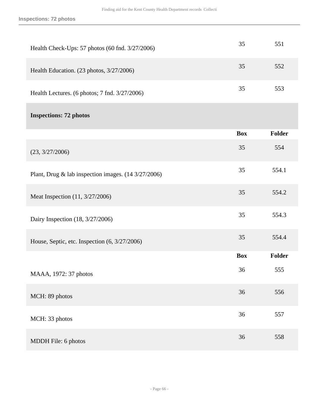| Health Check-Ups: 57 photos (60 fnd. 3/27/2006)     | 35         | 551           |
|-----------------------------------------------------|------------|---------------|
| Health Education. (23 photos, 3/27/2006)            | 35         | 552           |
| Health Lectures. (6 photos; 7 fnd. 3/27/2006)       | 35         | 553           |
| <b>Inspections: 72 photos</b>                       |            |               |
|                                                     | <b>Box</b> | <b>Folder</b> |
| (23, 3/27/2006)                                     | 35         | 554           |
| Plant, Drug & lab inspection images. (14 3/27/2006) | 35         | 554.1         |
| Meat Inspection (11, 3/27/2006)                     | 35         | 554.2         |
| Dairy Inspection (18, 3/27/2006)                    | 35         | 554.3         |
| House, Septic, etc. Inspection (6, 3/27/2006)       | 35         | 554.4         |
|                                                     | <b>Box</b> | <b>Folder</b> |
| MAAA, 1972: 37 photos                               | 36         | 555           |
| MCH: 89 photos                                      | 36         | 556           |
| MCH: 33 photos                                      | 36         | 557           |
| MDDH File: 6 photos                                 | 36         | 558           |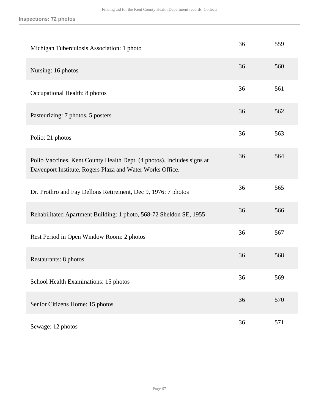| Michigan Tuberculosis Association: 1 photo                                                                                          | 36 | 559 |
|-------------------------------------------------------------------------------------------------------------------------------------|----|-----|
| Nursing: 16 photos                                                                                                                  | 36 | 560 |
| Occupational Health: 8 photos                                                                                                       | 36 | 561 |
| Pasteurizing: 7 photos, 5 posters                                                                                                   | 36 | 562 |
| Polio: 21 photos                                                                                                                    | 36 | 563 |
| Polio Vaccines. Kent County Health Dept. (4 photos). Includes signs at<br>Davenport Institute, Rogers Plaza and Water Works Office. | 36 | 564 |
| Dr. Prothro and Fay Dellons Retirement, Dec 9, 1976: 7 photos                                                                       | 36 | 565 |
| Rehabilitated Apartment Building: 1 photo, 568-72 Sheldon SE, 1955                                                                  | 36 | 566 |
| Rest Period in Open Window Room: 2 photos                                                                                           | 36 | 567 |
| Restaurants: 8 photos                                                                                                               | 36 | 568 |
| School Health Examinations: 15 photos                                                                                               | 36 | 569 |
| Senior Citizens Home: 15 photos                                                                                                     | 36 | 570 |
| Sewage: 12 photos                                                                                                                   | 36 | 571 |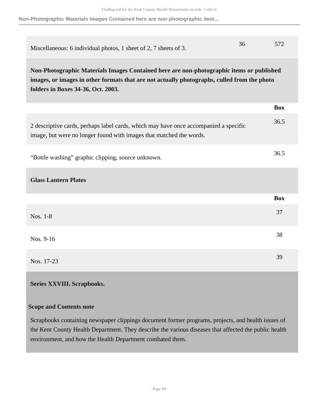**Non-Photographic Materials Images Contained here are non-photographic item...**

| Miscellaneous: 6 individual photos, 1 sheet of 2, 7 sheets of 3.                                                                                                                                                              | 36 | 572        |
|-------------------------------------------------------------------------------------------------------------------------------------------------------------------------------------------------------------------------------|----|------------|
| Non-Photographic Materials Images Contained here are non-photographic items or published<br>images, or images in other formats that are not actually photographs, culled from the photo<br>folders in Boxes 34-36, Oct. 2003. |    |            |
|                                                                                                                                                                                                                               |    | <b>Box</b> |
| 2 descriptive cards, perhaps label cards, which may have once accompanied a specific<br>image, but were no longer found with images that matched the words.                                                                   |    | 36.5       |
| "Bottle washing" graphic clipping, source unknown.                                                                                                                                                                            |    | 36.5       |
| <b>Glass Lantern Plates</b>                                                                                                                                                                                                   |    |            |
|                                                                                                                                                                                                                               |    | <b>Box</b> |
| Nos. 1-8                                                                                                                                                                                                                      |    | 37         |
| Nos. 9-16                                                                                                                                                                                                                     |    | 38         |
| Nos. 17-23                                                                                                                                                                                                                    |    | 39         |

#### <span id="page-67-0"></span>**Series XXVIII. Scrapbooks.**

#### **Scope and Contents note**

Scrapbooks containing newspaper clippings document former programs, projects, and health issues of the Kent County Health Department. They describe the various diseases that affected the public health environment, and how the Health Department combated them.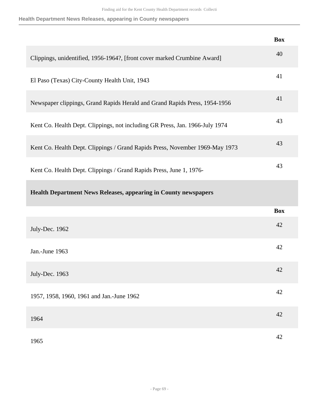**Health Department News Releases, appearing in County newspapers**

|                                                                              | <b>Box</b> |
|------------------------------------------------------------------------------|------------|
| Clippings, unidentified, 1956-1964?, [front cover marked Crumbine Award]     | 40         |
| El Paso (Texas) City-County Health Unit, 1943                                | 41         |
| Newspaper clippings, Grand Rapids Herald and Grand Rapids Press, 1954-1956   | 41         |
| Kent Co. Health Dept. Clippings, not including GR Press, Jan. 1966-July 1974 | 43         |
| Kent Co. Health Dept. Clippings / Grand Rapids Press, November 1969-May 1973 | 43         |
| Kent Co. Health Dept. Clippings / Grand Rapids Press, June 1, 1976-          | 43         |
| <b>Health Department News Releases, appearing in County newspapers</b>       |            |
|                                                                              | <b>Box</b> |
| July-Dec. 1962                                                               | 42         |
| Jan.-June 1963                                                               | 42         |
| July-Dec. 1963                                                               | 42         |
| 1957, 1958, 1960, 1961 and Jan.-June 1962                                    | 42         |
| 1964                                                                         | 42         |
| 1965                                                                         | 42         |